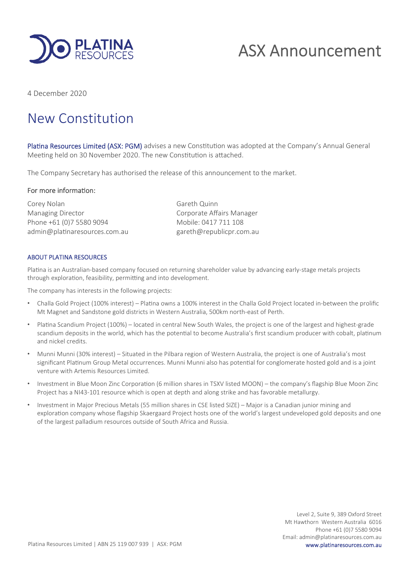

# ASX Announcement

4 December 2020

# New Constitution

Platina Resources Limited (ASX: PGM) advises a new Constitution was adopted at the Company's Annual General Meeting held on 30 November 2020. The new Constitution is attached.

The Company Secretary has authorised the release of this announcement to the market.

#### For more information:

Corey Nolan Gareth Quinn Managing Director **Communists** Corporate Affairs Manager Phone +61 (0)7 5580 9094 Mobile: 0417 711 108 admin@platinaresources.com.au gareth@republicpr.com.au

#### ABOUT PLATINA RESOURCES

Platina is an Australian-based company focused on returning shareholder value by advancing early-stage metals projects through exploration, feasibility, permitting and into development.

The company has interests in the following projects:

- Challa Gold Project (100% interest) Platina owns a 100% interest in the Challa Gold Project located in-between the prolific Mt Magnet and Sandstone gold districts in Western Australia, 500km north-east of Perth.
- Platina Scandium Project (100%) located in central New South Wales, the project is one of the largest and highest-grade scandium deposits in the world, which has the potential to become Australia's first scandium producer with cobalt, platinum and nickel credits.
- Munni Munni (30% interest) Situated in the Pilbara region of Western Australia, the project is one of Australia's most significant Platinum Group Metal occurrences. Munni Munni also has potential for conglomerate hosted gold and is a joint venture with Artemis Resources Limited.
- Investment in Blue Moon Zinc Corporation (6 million shares in TSXV listed MOON) the company's flagship Blue Moon Zinc Project has a NI43-101 resource which is open at depth and along strike and has favorable metallurgy.
- Investment in Major Precious Metals (55 million shares in CSE listed SIZE) Major is a Canadian junior mining and exploration company whose flagship Skaergaard Project hosts one of the world's largest undeveloped gold deposits and one of the largest palladium resources outside of South Africa and Russia.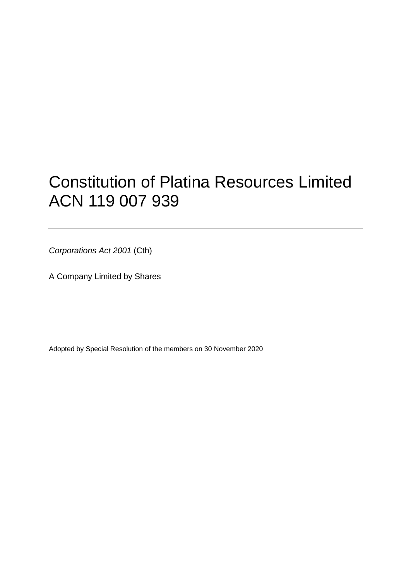# Constitution of Platina Resources Limited ACN 119 007 939

*Corporations Act 2001* (Cth)

A Company Limited by Shares

Adopted by Special Resolution of the members on 30 November 2020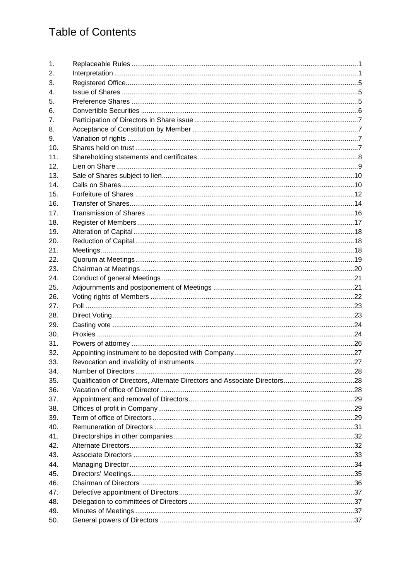# **Table of Contents**

| 1.             |                                                                           |  |
|----------------|---------------------------------------------------------------------------|--|
| 2.             |                                                                           |  |
| 3.             |                                                                           |  |
| 4.             |                                                                           |  |
| 5.             |                                                                           |  |
| 6.             |                                                                           |  |
| 7 <sub>1</sub> |                                                                           |  |
| 8.             |                                                                           |  |
| 9.             |                                                                           |  |
| 10.            |                                                                           |  |
| 11.            |                                                                           |  |
| 12.            |                                                                           |  |
| 13.            |                                                                           |  |
| 14.            |                                                                           |  |
| 15.            |                                                                           |  |
| 16.            |                                                                           |  |
| 17.            |                                                                           |  |
| 18.            |                                                                           |  |
| 19.            |                                                                           |  |
| 20.            |                                                                           |  |
| 21.            |                                                                           |  |
| 22.            |                                                                           |  |
| 23.            |                                                                           |  |
| 24.            |                                                                           |  |
| 25.            |                                                                           |  |
| 26.            |                                                                           |  |
| 27.            |                                                                           |  |
| 28.            |                                                                           |  |
| 29.            |                                                                           |  |
| 30.            |                                                                           |  |
| 31.            |                                                                           |  |
| 32.            |                                                                           |  |
| 33.            |                                                                           |  |
| 34.            |                                                                           |  |
| 35.            | Qualification of Directors, Alternate Directors and Associate Directors28 |  |
| 36.            |                                                                           |  |
| 37.            |                                                                           |  |
| 38.            |                                                                           |  |
| 39.            |                                                                           |  |
| 40.            |                                                                           |  |
| 41.            |                                                                           |  |
| 42.            |                                                                           |  |
| 43.            |                                                                           |  |
| 44.            |                                                                           |  |
| 45.            |                                                                           |  |
| 46.            |                                                                           |  |
| 47.            |                                                                           |  |
| 48.            |                                                                           |  |
| 49.            |                                                                           |  |
| 50.            |                                                                           |  |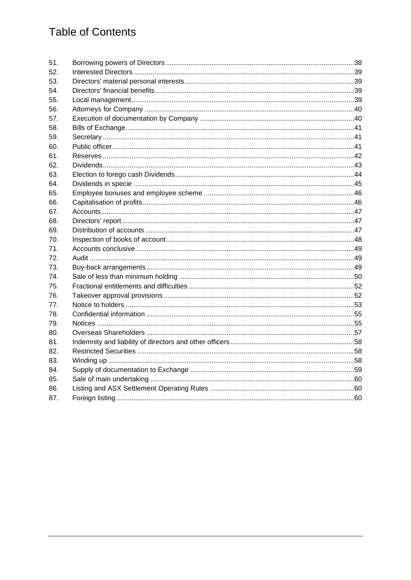# **Table of Contents**

| 51. |                                                                                                                        |  |
|-----|------------------------------------------------------------------------------------------------------------------------|--|
| 52. |                                                                                                                        |  |
| 53. |                                                                                                                        |  |
| 54. |                                                                                                                        |  |
| 55. |                                                                                                                        |  |
| 56. |                                                                                                                        |  |
| 57. |                                                                                                                        |  |
| 58. |                                                                                                                        |  |
| 59. |                                                                                                                        |  |
| 60. |                                                                                                                        |  |
| 61. |                                                                                                                        |  |
| 62. |                                                                                                                        |  |
| 63. |                                                                                                                        |  |
| 64. |                                                                                                                        |  |
| 65. |                                                                                                                        |  |
| 66. |                                                                                                                        |  |
| 67. |                                                                                                                        |  |
| 68. |                                                                                                                        |  |
| 69. |                                                                                                                        |  |
| 70. |                                                                                                                        |  |
| 71. |                                                                                                                        |  |
| 72. | 49. مستقدم المستقدم المستقدم المستقدم المستقدم المستقدم المستقدم المستقدم المستقدم المستقدم المستقدم المستقدم المستقدم |  |
| 73. |                                                                                                                        |  |
| 74. |                                                                                                                        |  |
| 75. |                                                                                                                        |  |
| 76. |                                                                                                                        |  |
| 77. |                                                                                                                        |  |
| 78. |                                                                                                                        |  |
| 79. |                                                                                                                        |  |
| 80. |                                                                                                                        |  |
| 81. |                                                                                                                        |  |
| 82. |                                                                                                                        |  |
| 83. |                                                                                                                        |  |
| 84. |                                                                                                                        |  |
| 85. |                                                                                                                        |  |
| 86. |                                                                                                                        |  |
| 87. |                                                                                                                        |  |
|     |                                                                                                                        |  |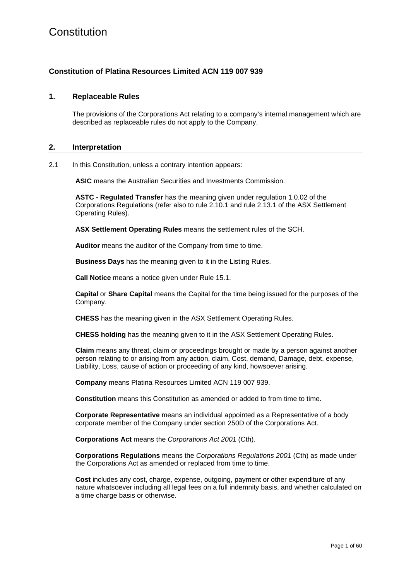#### **Constitution of Platina Resources Limited ACN 119 007 939**

#### **1. Replaceable Rules**

The provisions of the Corporations Act relating to a company's internal management which are described as replaceable rules do not apply to the Company.

#### **2. Interpretation**

<span id="page-4-0"></span>2.1 In this Constitution, unless a contrary intention appears:

**ASIC** means the Australian Securities and Investments Commission.

**ASTC - Regulated Transfer** has the meaning given under regulation 1.0.02 of the Corporations Regulations (refer also to rule 2.10.1 and rule 2.13.1 of the ASX Settlement Operating Rules).

**ASX Settlement Operating Rules** means the settlement rules of the SCH.

**Auditor** means the auditor of the Company from time to time.

**Business Days** has the meaning given to it in the Listing Rules.

**Call Notice** means a notice given under Rule [15.1.](#page-15-0)

**Capital** or **Share Capital** means the Capital for the time being issued for the purposes of the Company.

**CHESS** has the meaning given in the ASX Settlement Operating Rules.

**CHESS holding** has the meaning given to it in the ASX Settlement Operating Rules.

**Claim** means any threat, claim or proceedings brought or made by a person against another person relating to or arising from any action, claim, Cost, demand, Damage, debt, expense, Liability, Loss, cause of action or proceeding of any kind, howsoever arising.

**Company** means Platina Resources Limited ACN 119 007 939.

**Constitution** means this Constitution as amended or added to from time to time.

**Corporate Representative** means an individual appointed as a Representative of a body corporate member of the Company under section 250D of the Corporations Act.

**Corporations Act** means the *Corporations Act 2001* (Cth).

**Corporations Regulations** means the *Corporations Regulations 2001* (Cth) as made under the Corporations Act as amended or replaced from time to time.

**Cost** includes any cost, charge, expense, outgoing, payment or other expenditure of any nature whatsoever including all legal fees on a full indemnity basis, and whether calculated on a time charge basis or otherwise.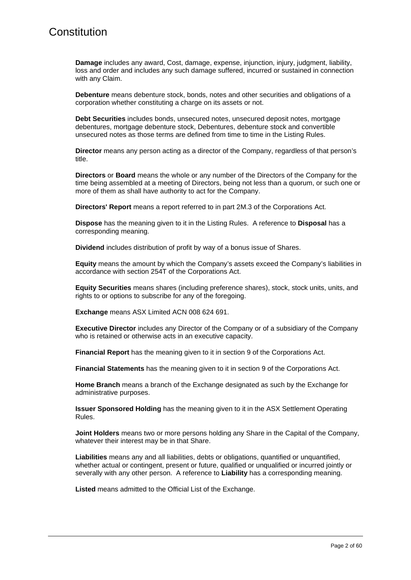**Damage** includes any award, Cost, damage, expense, injunction, injury, judgment, liability, loss and order and includes any such damage suffered, incurred or sustained in connection with any Claim.

**Debenture** means debenture stock, bonds, notes and other securities and obligations of a corporation whether constituting a charge on its assets or not.

**Debt Securities** includes bonds, unsecured notes, unsecured deposit notes, mortgage debentures, mortgage debenture stock, Debentures, debenture stock and convertible unsecured notes as those terms are defined from time to time in the Listing Rules.

**Director** means any person acting as a director of the Company, regardless of that person's title.

**Directors** or **Board** means the whole or any number of the Directors of the Company for the time being assembled at a meeting of Directors, being not less than a quorum, or such one or more of them as shall have authority to act for the Company.

**Directors' Report** means a report referred to in part 2M.3 of the Corporations Act.

**Dispose** has the meaning given to it in the Listing Rules. A reference to **Disposal** has a corresponding meaning.

**Dividend** includes distribution of profit by way of a bonus issue of Shares.

**Equity** means the amount by which the Company's assets exceed the Company's liabilities in accordance with section 254T of the Corporations Act.

**Equity Securities** means shares (including preference shares), stock, stock units, units, and rights to or options to subscribe for any of the foregoing.

**Exchange** means ASX Limited ACN 008 624 691.

**Executive Director** includes any Director of the Company or of a subsidiary of the Company who is retained or otherwise acts in an executive capacity.

**Financial Report** has the meaning given to it in section 9 of the Corporations Act.

**Financial Statements** has the meaning given to it in section 9 of the Corporations Act.

**Home Branch** means a branch of the Exchange designated as such by the Exchange for administrative purposes.

**Issuer Sponsored Holding** has the meaning given to it in the ASX Settlement Operating Rules.

**Joint Holders** means two or more persons holding any Share in the Capital of the Company, whatever their interest may be in that Share.

**Liabilities** means any and all liabilities, debts or obligations, quantified or unquantified, whether actual or contingent, present or future, qualified or unqualified or incurred jointly or severally with any other person. A reference to **Liability** has a corresponding meaning.

**Listed** means admitted to the Official List of the Exchange.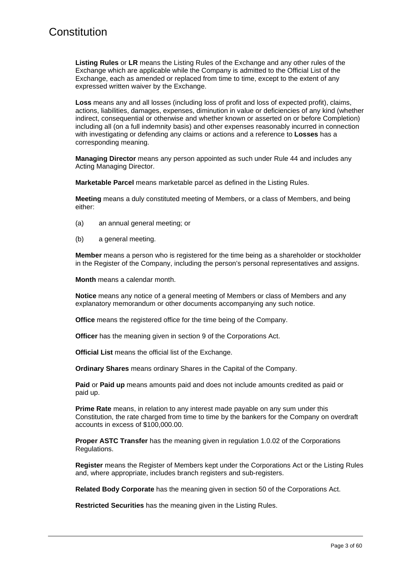**Listing Rules** or **LR** means the Listing Rules of the Exchange and any other rules of the Exchange which are applicable while the Company is admitted to the Official List of the Exchange, each as amended or replaced from time to time, except to the extent of any expressed written waiver by the Exchange.

**Loss** means any and all losses (including loss of profit and loss of expected profit), claims, actions, liabilities, damages, expenses, diminution in value or deficiencies of any kind (whether indirect, consequential or otherwise and whether known or asserted on or before Completion) including all (on a full indemnity basis) and other expenses reasonably incurred in connection with investigating or defending any claims or actions and a reference to **Losses** has a corresponding meaning.

**Managing Director** means any person appointed as such under Rule [44](#page-37-0) and includes any Acting Managing Director.

**Marketable Parcel** means marketable parcel as defined in the Listing Rules.

**Meeting** means a duly constituted meeting of Members, or a class of Members, and being either:

- (a) an annual general meeting; or
- (b) a general meeting.

**Member** means a person who is registered for the time being as a shareholder or stockholder in the Register of the Company, including the person's personal representatives and assigns.

**Month** means a calendar month.

**Notice** means any notice of a general meeting of Members or class of Members and any explanatory memorandum or other documents accompanying any such notice.

**Office** means the registered office for the time being of the Company.

**Officer** has the meaning given in section 9 of the Corporations Act.

**Official List** means the official list of the Exchange.

**Ordinary Shares** means ordinary Shares in the Capital of the Company.

**Paid** or **Paid up** means amounts paid and does not include amounts credited as paid or paid up.

**Prime Rate** means, in relation to any interest made payable on any sum under this Constitution, the rate charged from time to time by the bankers for the Company on overdraft accounts in excess of \$100,000.00.

**Proper ASTC Transfer** has the meaning given in regulation 1.0.02 of the Corporations Regulations.

**Register** means the Register of Members kept under the Corporations Act or the Listing Rules and, where appropriate, includes branch registers and sub-registers.

**Related Body Corporate** has the meaning given in section 50 of the Corporations Act.

**Restricted Securities** has the meaning given in the Listing Rules.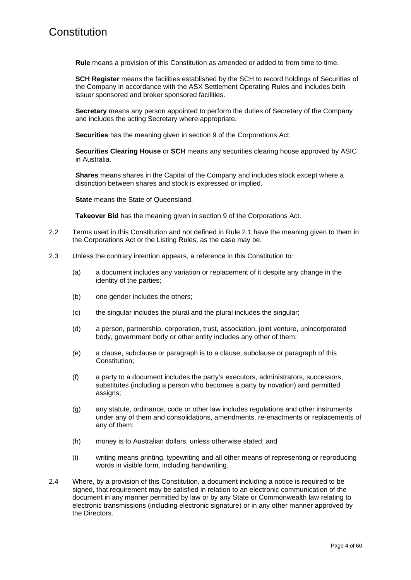**Rule** means a provision of this Constitution as amended or added to from time to time.

**SCH Register** means the facilities established by the SCH to record holdings of Securities of the Company in accordance with the ASX Settlement Operating Rules and includes both issuer sponsored and broker sponsored facilities.

**Secretary** means any person appointed to perform the duties of Secretary of the Company and includes the acting Secretary where appropriate.

**Securities** has the meaning given in section 9 of the Corporations Act.

**Securities Clearing House** or **SCH** means any securities clearing house approved by ASIC in Australia.

**Shares** means shares in the Capital of the Company and includes stock except where a distinction between shares and stock is expressed or implied.

**State** means the State of Queensland.

**Takeover Bid** has the meaning given in section 9 of the Corporations Act.

- 2.2 Terms used in this Constitution and not defined in Rule [2.1](#page-4-0) have the meaning given to them in the Corporations Act or the Listing Rules, as the case may be.
- 2.3 Unless the contrary intention appears, a reference in this Constitution to:
	- (a) a document includes any variation or replacement of it despite any change in the identity of the parties;
	- (b) one gender includes the others;
	- (c) the singular includes the plural and the plural includes the singular;
	- (d) a person, partnership, corporation, trust, association, joint venture, unincorporated body, government body or other entity includes any other of them;
	- (e) a clause, subclause or paragraph is to a clause, subclause or paragraph of this Constitution;
	- (f) a party to a document includes the party's executors, administrators, successors, substitutes (including a person who becomes a party by novation) and permitted assigns;
	- (g) any statute, ordinance, code or other law includes regulations and other instruments under any of them and consolidations, amendments, re-enactments or replacements of any of them;
	- (h) money is to Australian dollars, unless otherwise stated; and
	- (i) writing means printing, typewriting and all other means of representing or reproducing words in visible form, including handwriting.
- 2.4 Where, by a provision of this Constitution, a document including a notice is required to be signed, that requirement may be satisfied in relation to an electronic communication of the document in any manner permitted by law or by any State or Commonwealth law relating to electronic transmissions (including electronic signature) or in any other manner approved by the Directors.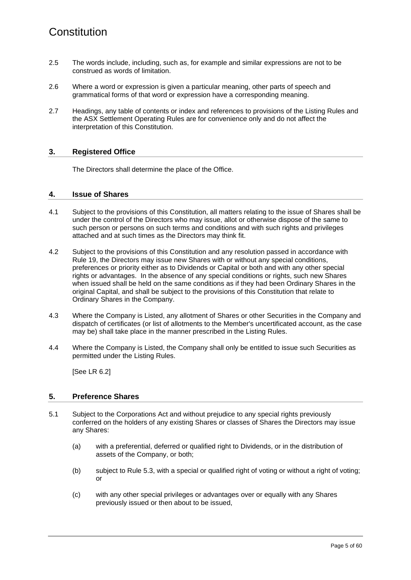- 2.5 The words include, including, such as, for example and similar expressions are not to be construed as words of limitation.
- 2.6 Where a word or expression is given a particular meaning, other parts of speech and grammatical forms of that word or expression have a corresponding meaning.
- 2.7 Headings, any table of contents or index and references to provisions of the Listing Rules and the ASX Settlement Operating Rules are for convenience only and do not affect the interpretation of this Constitution.

#### **3. Registered Office**

The Directors shall determine the place of the Office.

#### <span id="page-8-0"></span>**4. Issue of Shares**

- <span id="page-8-1"></span>4.1 Subject to the provisions of this Constitution, all matters relating to the issue of Shares shall be under the control of the Directors who may issue, allot or otherwise dispose of the same to such person or persons on such terms and conditions and with such rights and privileges attached and at such times as the Directors may think fit.
- 4.2 Subject to the provisions of this Constitution and any resolution passed in accordance with Rule [19,](#page-21-0) the Directors may issue new Shares with or without any special conditions, preferences or priority either as to Dividends or Capital or both and with any other special rights or advantages. In the absence of any special conditions or rights, such new Shares when issued shall be held on the same conditions as if they had been Ordinary Shares in the original Capital, and shall be subject to the provisions of this Constitution that relate to Ordinary Shares in the Company.
- 4.3 Where the Company is Listed, any allotment of Shares or other Securities in the Company and dispatch of certificates (or list of allotments to the Member's uncertificated account, as the case may be) shall take place in the manner prescribed in the Listing Rules.
- 4.4 Where the Company is Listed, the Company shall only be entitled to issue such Securities as permitted under the Listing Rules.

[See LR 6.2]

#### **5. Preference Shares**

- 5.1 Subject to the Corporations Act and without prejudice to any special rights previously conferred on the holders of any existing Shares or classes of Shares the Directors may issue any Shares:
	- (a) with a preferential, deferred or qualified right to Dividends, or in the distribution of assets of the Company, or both;
	- (b) subject to Rule [5.3,](#page-9-0) with a special or qualified right of voting or without a right of voting; or
	- (c) with any other special privileges or advantages over or equally with any Shares previously issued or then about to be issued,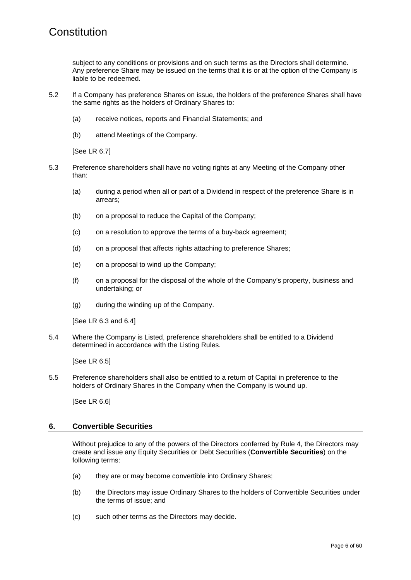subject to any conditions or provisions and on such terms as the Directors shall determine. Any preference Share may be issued on the terms that it is or at the option of the Company is liable to be redeemed.

- 5.2 If a Company has preference Shares on issue, the holders of the preference Shares shall have the same rights as the holders of Ordinary Shares to:
	- (a) receive notices, reports and Financial Statements; and
	- (b) attend Meetings of the Company.

[See LR 6.7]

- <span id="page-9-0"></span>5.3 Preference shareholders shall have no voting rights at any Meeting of the Company other than:
	- (a) during a period when all or part of a Dividend in respect of the preference Share is in arrears;
	- (b) on a proposal to reduce the Capital of the Company;
	- (c) on a resolution to approve the terms of a buy-back agreement;
	- (d) on a proposal that affects rights attaching to preference Shares;
	- (e) on a proposal to wind up the Company;
	- (f) on a proposal for the disposal of the whole of the Company's property, business and undertaking; or
	- (g) during the winding up of the Company.

[See LR 6.3 and 6.4]

5.4 Where the Company is Listed, preference shareholders shall be entitled to a Dividend determined in accordance with the Listing Rules.

[See LR 6.5]

5.5 Preference shareholders shall also be entitled to a return of Capital in preference to the holders of Ordinary Shares in the Company when the Company is wound up.

[See LR 6.6]

#### **6. Convertible Securities**

Without prejudice to any of the powers of the Directors conferred by Rule [4,](#page-8-0) the Directors may create and issue any Equity Securities or Debt Securities (**Convertible Securities**) on the following terms:

- (a) they are or may become convertible into Ordinary Shares;
- (b) the Directors may issue Ordinary Shares to the holders of Convertible Securities under the terms of issue; and
- (c) such other terms as the Directors may decide.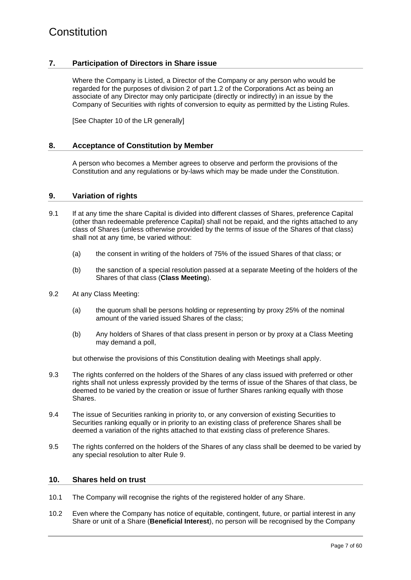#### **7. Participation of Directors in Share issue**

Where the Company is Listed, a Director of the Company or any person who would be regarded for the purposes of division 2 of part 1.2 of the Corporations Act as being an associate of any Director may only participate (directly or indirectly) in an issue by the Company of Securities with rights of conversion to equity as permitted by the Listing Rules.

[See Chapter 10 of the LR generally]

#### **8. Acceptance of Constitution by Member**

A person who becomes a Member agrees to observe and perform the provisions of the Constitution and any regulations or by-laws which may be made under the Constitution.

#### <span id="page-10-0"></span>**9. Variation of rights**

- 9.1 If at any time the share Capital is divided into different classes of Shares, preference Capital (other than redeemable preference Capital) shall not be repaid, and the rights attached to any class of Shares (unless otherwise provided by the terms of issue of the Shares of that class) shall not at any time, be varied without:
	- (a) the consent in writing of the holders of 75% of the issued Shares of that class; or
	- (b) the sanction of a special resolution passed at a separate Meeting of the holders of the Shares of that class (**Class Meeting**).
- 9.2 At any Class Meeting:
	- (a) the quorum shall be persons holding or representing by proxy 25% of the nominal amount of the varied issued Shares of the class;
	- (b) Any holders of Shares of that class present in person or by proxy at a Class Meeting may demand a poll,

but otherwise the provisions of this Constitution dealing with Meetings shall apply.

- 9.3 The rights conferred on the holders of the Shares of any class issued with preferred or other rights shall not unless expressly provided by the terms of issue of the Shares of that class, be deemed to be varied by the creation or issue of further Shares ranking equally with those Shares.
- 9.4 The issue of Securities ranking in priority to, or any conversion of existing Securities to Securities ranking equally or in priority to an existing class of preference Shares shall be deemed a variation of the rights attached to that existing class of preference Shares.
- 9.5 The rights conferred on the holders of the Shares of any class shall be deemed to be varied by any special resolution to alter Rule [9.](#page-10-0)

#### **10. Shares held on trust**

- 10.1 The Company will recognise the rights of the registered holder of any Share.
- 10.2 Even where the Company has notice of equitable, contingent, future, or partial interest in any Share or unit of a Share (**Beneficial Interest**), no person will be recognised by the Company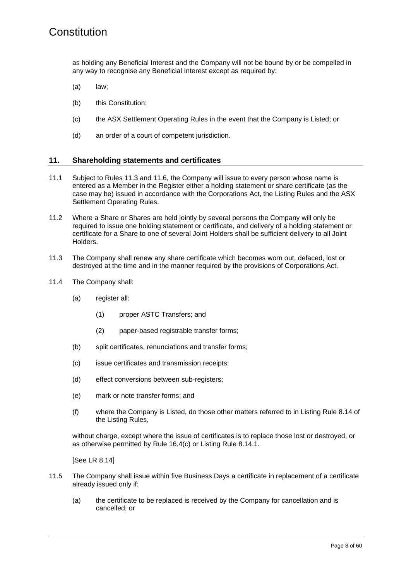as holding any Beneficial Interest and the Company will not be bound by or be compelled in any way to recognise any Beneficial Interest except as required by:

- (a) law;
- (b) this Constitution;
- (c) the ASX Settlement Operating Rules in the event that the Company is Listed; or
- (d) an order of a court of competent jurisdiction.

#### <span id="page-11-1"></span>**11. Shareholding statements and certificates**

- 11.1 Subject to Rules [11.3](#page-11-0) and [11.6,](#page-12-0) the Company will issue to every person whose name is entered as a Member in the Register either a holding statement or share certificate (as the case may be) issued in accordance with the Corporations Act, the Listing Rules and the ASX Settlement Operating Rules.
- 11.2 Where a Share or Shares are held jointly by several persons the Company will only be required to issue one holding statement or certificate, and delivery of a holding statement or certificate for a Share to one of several Joint Holders shall be sufficient delivery to all Joint Holders.
- <span id="page-11-0"></span>11.3 The Company shall renew any share certificate which becomes worn out, defaced, lost or destroyed at the time and in the manner required by the provisions of Corporations Act.
- 11.4 The Company shall:
	- (a) register all:
		- (1) proper ASTC Transfers; and
		- (2) paper-based registrable transfer forms;
	- (b) split certificates, renunciations and transfer forms;
	- (c) issue certificates and transmission receipts;
	- (d) effect conversions between sub-registers;
	- (e) mark or note transfer forms; and
	- (f) where the Company is Listed, do those other matters referred to in Listing Rule 8.14 of the Listing Rules,

without charge, except where the issue of certificates is to replace those lost or destroyed, or as otherwise permitted by Rule [16.4\(c\)](#page-18-0) or Listing Rule 8.14.1.

[See LR 8.14]

- 11.5 The Company shall issue within five Business Days a certificate in replacement of a certificate already issued only if:
	- (a) the certificate to be replaced is received by the Company for cancellation and is cancelled; or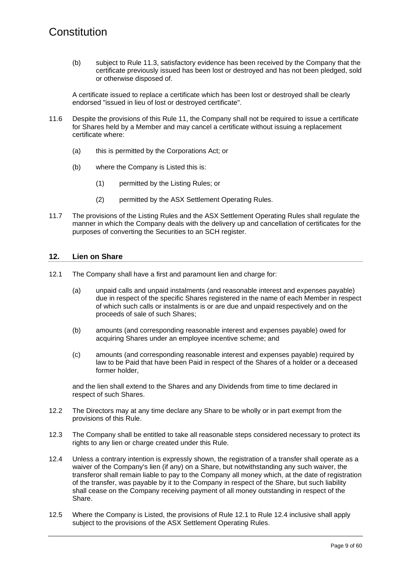(b) subject to Rule [11.3,](#page-11-0) satisfactory evidence has been received by the Company that the certificate previously issued has been lost or destroyed and has not been pledged, sold or otherwise disposed of.

A certificate issued to replace a certificate which has been lost or destroyed shall be clearly endorsed "issued in lieu of lost or destroyed certificate".

- <span id="page-12-0"></span>11.6 Despite the provisions of this Rule [11,](#page-11-1) the Company shall not be required to issue a certificate for Shares held by a Member and may cancel a certificate without issuing a replacement certificate where:
	- (a) this is permitted by the Corporations Act; or
	- (b) where the Company is Listed this is:
		- (1) permitted by the Listing Rules; or
		- (2) permitted by the ASX Settlement Operating Rules.
- 11.7 The provisions of the Listing Rules and the ASX Settlement Operating Rules shall regulate the manner in which the Company deals with the delivery up and cancellation of certificates for the purposes of converting the Securities to an SCH register.

#### **12. Lien on Share**

- <span id="page-12-1"></span>12.1 The Company shall have a first and paramount lien and charge for:
	- (a) unpaid calls and unpaid instalments (and reasonable interest and expenses payable) due in respect of the specific Shares registered in the name of each Member in respect of which such calls or instalments is or are due and unpaid respectively and on the proceeds of sale of such Shares;
	- (b) amounts (and corresponding reasonable interest and expenses payable) owed for acquiring Shares under an employee incentive scheme; and
	- (c) amounts (and corresponding reasonable interest and expenses payable) required by law to be Paid that have been Paid in respect of the Shares of a holder or a deceased former holder,

and the lien shall extend to the Shares and any Dividends from time to time declared in respect of such Shares.

- 12.2 The Directors may at any time declare any Share to be wholly or in part exempt from the provisions of this Rule.
- 12.3 The Company shall be entitled to take all reasonable steps considered necessary to protect its rights to any lien or charge created under this Rule.
- <span id="page-12-2"></span>12.4 Unless a contrary intention is expressly shown, the registration of a transfer shall operate as a waiver of the Company's lien (if any) on a Share, but notwithstanding any such waiver, the transferor shall remain liable to pay to the Company all money which, at the date of registration of the transfer, was payable by it to the Company in respect of the Share, but such liability shall cease on the Company receiving payment of all money outstanding in respect of the Share.
- 12.5 Where the Company is Listed, the provisions of Rule [12.1](#page-12-1) to Rule [12.4](#page-12-2) inclusive shall apply subject to the provisions of the ASX Settlement Operating Rules.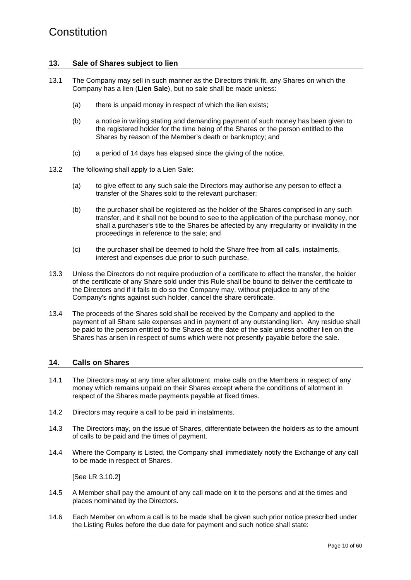#### **13. Sale of Shares subject to lien**

- 13.1 The Company may sell in such manner as the Directors think fit, any Shares on which the Company has a lien (**Lien Sale**), but no sale shall be made unless:
	- (a) there is unpaid money in respect of which the lien exists;
	- (b) a notice in writing stating and demanding payment of such money has been given to the registered holder for the time being of the Shares or the person entitled to the Shares by reason of the Member's death or bankruptcy; and
	- (c) a period of 14 days has elapsed since the giving of the notice.
- 13.2 The following shall apply to a Lien Sale:
	- (a) to give effect to any such sale the Directors may authorise any person to effect a transfer of the Shares sold to the relevant purchaser;
	- (b) the purchaser shall be registered as the holder of the Shares comprised in any such transfer, and it shall not be bound to see to the application of the purchase money, nor shall a purchaser's title to the Shares be affected by any irregularity or invalidity in the proceedings in reference to the sale; and
	- (c) the purchaser shall be deemed to hold the Share free from all calls, instalments, interest and expenses due prior to such purchase.
- 13.3 Unless the Directors do not require production of a certificate to effect the transfer, the holder of the certificate of any Share sold under this Rule shall be bound to deliver the certificate to the Directors and if it fails to do so the Company may, without prejudice to any of the Company's rights against such holder, cancel the share certificate.
- 13.4 The proceeds of the Shares sold shall be received by the Company and applied to the payment of all Share sale expenses and in payment of any outstanding lien. Any residue shall be paid to the person entitled to the Shares at the date of the sale unless another lien on the Shares has arisen in respect of sums which were not presently payable before the sale.

#### **14. Calls on Shares**

- 14.1 The Directors may at any time after allotment, make calls on the Members in respect of any money which remains unpaid on their Shares except where the conditions of allotment in respect of the Shares made payments payable at fixed times.
- 14.2 Directors may require a call to be paid in instalments.
- 14.3 The Directors may, on the issue of Shares, differentiate between the holders as to the amount of calls to be paid and the times of payment.
- 14.4 Where the Company is Listed, the Company shall immediately notify the Exchange of any call to be made in respect of Shares.

[See LR 3.10.2]

- 14.5 A Member shall pay the amount of any call made on it to the persons and at the times and places nominated by the Directors.
- <span id="page-13-0"></span>14.6 Each Member on whom a call is to be made shall be given such prior notice prescribed under the Listing Rules before the due date for payment and such notice shall state: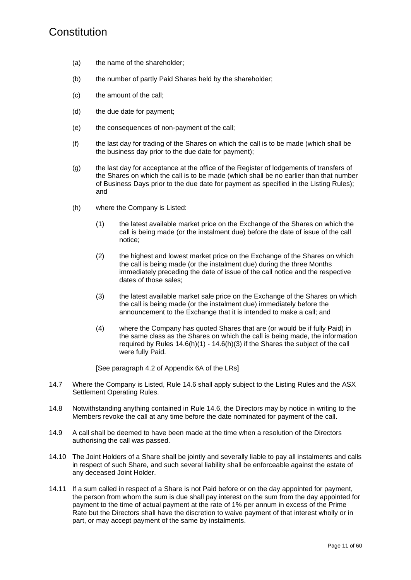- (a) the name of the shareholder;
- (b) the number of partly Paid Shares held by the shareholder;
- (c) the amount of the call;
- (d) the due date for payment;
- (e) the consequences of non-payment of the call;
- (f) the last day for trading of the Shares on which the call is to be made (which shall be the business day prior to the due date for payment);
- (g) the last day for acceptance at the office of the Register of lodgements of transfers of the Shares on which the call is to be made (which shall be no earlier than that number of Business Days prior to the due date for payment as specified in the Listing Rules); and
- <span id="page-14-0"></span>(h) where the Company is Listed:
	- (1) the latest available market price on the Exchange of the Shares on which the call is being made (or the instalment due) before the date of issue of the call notice;
	- (2) the highest and lowest market price on the Exchange of the Shares on which the call is being made (or the instalment due) during the three Months immediately preceding the date of issue of the call notice and the respective dates of those sales;
	- (3) the latest available market sale price on the Exchange of the Shares on which the call is being made (or the instalment due) immediately before the announcement to the Exchange that it is intended to make a call; and
	- (4) where the Company has quoted Shares that are (or would be if fully Paid) in the same class as the Shares on which the call is being made, the information required by Rules  $14.6(h)(1) - 14.6(h)(3)$  if the Shares the subject of the call were fully Paid.

<span id="page-14-1"></span>[See paragraph 4.2 of Appendix 6A of the LRs]

- 14.7 Where the Company is Listed, Rule [14.6](#page-13-0) shall apply subject to the Listing Rules and the ASX Settlement Operating Rules.
- 14.8 Notwithstanding anything contained in Rule [14.6,](#page-13-0) the Directors may by notice in writing to the Members revoke the call at any time before the date nominated for payment of the call.
- 14.9 A call shall be deemed to have been made at the time when a resolution of the Directors authorising the call was passed.
- 14.10 The Joint Holders of a Share shall be jointly and severally liable to pay all instalments and calls in respect of such Share, and such several liability shall be enforceable against the estate of any deceased Joint Holder.
- 14.11 If a sum called in respect of a Share is not Paid before or on the day appointed for payment, the person from whom the sum is due shall pay interest on the sum from the day appointed for payment to the time of actual payment at the rate of 1% per annum in excess of the Prime Rate but the Directors shall have the discretion to waive payment of that interest wholly or in part, or may accept payment of the same by instalments.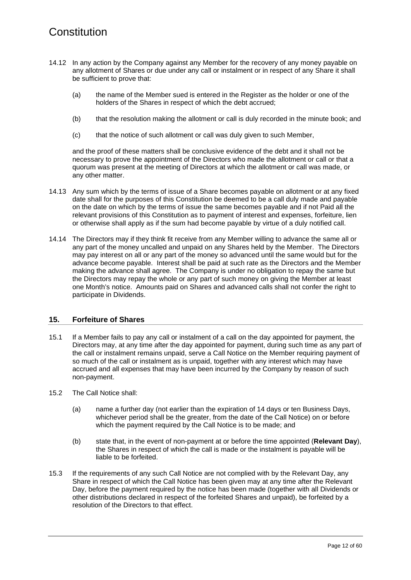- 14.12 In any action by the Company against any Member for the recovery of any money payable on any allotment of Shares or due under any call or instalment or in respect of any Share it shall be sufficient to prove that:
	- (a) the name of the Member sued is entered in the Register as the holder or one of the holders of the Shares in respect of which the debt accrued;
	- (b) that the resolution making the allotment or call is duly recorded in the minute book; and
	- (c) that the notice of such allotment or call was duly given to such Member,

and the proof of these matters shall be conclusive evidence of the debt and it shall not be necessary to prove the appointment of the Directors who made the allotment or call or that a quorum was present at the meeting of Directors at which the allotment or call was made, or any other matter.

- 14.13 Any sum which by the terms of issue of a Share becomes payable on allotment or at any fixed date shall for the purposes of this Constitution be deemed to be a call duly made and payable on the date on which by the terms of issue the same becomes payable and if not Paid all the relevant provisions of this Constitution as to payment of interest and expenses, forfeiture, lien or otherwise shall apply as if the sum had become payable by virtue of a duly notified call.
- 14.14 The Directors may if they think fit receive from any Member willing to advance the same all or any part of the money uncalled and unpaid on any Shares held by the Member. The Directors may pay interest on all or any part of the money so advanced until the same would but for the advance become payable. Interest shall be paid at such rate as the Directors and the Member making the advance shall agree. The Company is under no obligation to repay the same but the Directors may repay the whole or any part of such money on giving the Member at least one Month's notice. Amounts paid on Shares and advanced calls shall not confer the right to participate in Dividends.

#### <span id="page-15-1"></span>**15. Forfeiture of Shares**

- <span id="page-15-0"></span>15.1 If a Member fails to pay any call or instalment of a call on the day appointed for payment, the Directors may, at any time after the day appointed for payment, during such time as any part of the call or instalment remains unpaid, serve a Call Notice on the Member requiring payment of so much of the call or instalment as is unpaid, together with any interest which may have accrued and all expenses that may have been incurred by the Company by reason of such non-payment.
- 15.2 The Call Notice shall:
	- (a) name a further day (not earlier than the expiration of 14 days or ten Business Days, whichever period shall be the greater, from the date of the Call Notice) on or before which the payment required by the Call Notice is to be made; and
	- (b) state that, in the event of non-payment at or before the time appointed (**Relevant Day**), the Shares in respect of which the call is made or the instalment is payable will be liable to be forfeited.
- 15.3 If the requirements of any such Call Notice are not complied with by the Relevant Day, any Share in respect of which the Call Notice has been given may at any time after the Relevant Day, before the payment required by the notice has been made (together with all Dividends or other distributions declared in respect of the forfeited Shares and unpaid), be forfeited by a resolution of the Directors to that effect.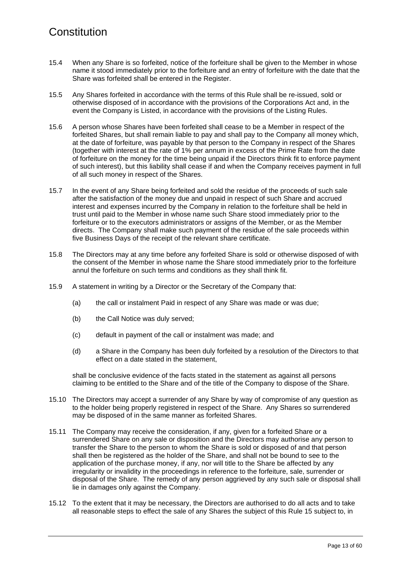- 15.4 When any Share is so forfeited, notice of the forfeiture shall be given to the Member in whose name it stood immediately prior to the forfeiture and an entry of forfeiture with the date that the Share was forfeited shall be entered in the Register.
- 15.5 Any Shares forfeited in accordance with the terms of this Rule shall be re-issued, sold or otherwise disposed of in accordance with the provisions of the Corporations Act and, in the event the Company is Listed, in accordance with the provisions of the Listing Rules.
- 15.6 A person whose Shares have been forfeited shall cease to be a Member in respect of the forfeited Shares, but shall remain liable to pay and shall pay to the Company all money which, at the date of forfeiture, was payable by that person to the Company in respect of the Shares (together with interest at the rate of 1% per annum in excess of the Prime Rate from the date of forfeiture on the money for the time being unpaid if the Directors think fit to enforce payment of such interest), but this liability shall cease if and when the Company receives payment in full of all such money in respect of the Shares.
- 15.7 In the event of any Share being forfeited and sold the residue of the proceeds of such sale after the satisfaction of the money due and unpaid in respect of such Share and accrued interest and expenses incurred by the Company in relation to the forfeiture shall be held in trust until paid to the Member in whose name such Share stood immediately prior to the forfeiture or to the executors administrators or assigns of the Member, or as the Member directs. The Company shall make such payment of the residue of the sale proceeds within five Business Days of the receipt of the relevant share certificate.
- 15.8 The Directors may at any time before any forfeited Share is sold or otherwise disposed of with the consent of the Member in whose name the Share stood immediately prior to the forfeiture annul the forfeiture on such terms and conditions as they shall think fit.
- 15.9 A statement in writing by a Director or the Secretary of the Company that:
	- (a) the call or instalment Paid in respect of any Share was made or was due;
	- (b) the Call Notice was duly served;
	- (c) default in payment of the call or instalment was made; and
	- (d) a Share in the Company has been duly forfeited by a resolution of the Directors to that effect on a date stated in the statement,

shall be conclusive evidence of the facts stated in the statement as against all persons claiming to be entitled to the Share and of the title of the Company to dispose of the Share.

- 15.10 The Directors may accept a surrender of any Share by way of compromise of any question as to the holder being properly registered in respect of the Share. Any Shares so surrendered may be disposed of in the same manner as forfeited Shares.
- 15.11 The Company may receive the consideration, if any, given for a forfeited Share or a surrendered Share on any sale or disposition and the Directors may authorise any person to transfer the Share to the person to whom the Share is sold or disposed of and that person shall then be registered as the holder of the Share, and shall not be bound to see to the application of the purchase money, if any, nor will title to the Share be affected by any irregularity or invalidity in the proceedings in reference to the forfeiture, sale, surrender or disposal of the Share. The remedy of any person aggrieved by any such sale or disposal shall lie in damages only against the Company.
- 15.12 To the extent that it may be necessary, the Directors are authorised to do all acts and to take all reasonable steps to effect the sale of any Shares the subject of this Rule [15](#page-15-1) subject to, in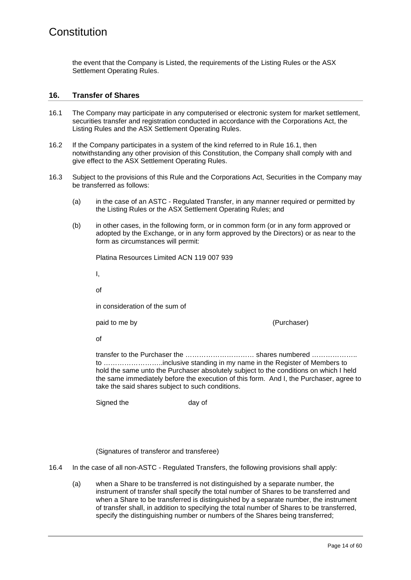the event that the Company is Listed, the requirements of the Listing Rules or the ASX Settlement Operating Rules.

#### **16. Transfer of Shares**

- <span id="page-17-0"></span>16.1 The Company may participate in any computerised or electronic system for market settlement, securities transfer and registration conducted in accordance with the Corporations Act, the Listing Rules and the ASX Settlement Operating Rules.
- 16.2 If the Company participates in a system of the kind referred to in Rule [16.1,](#page-17-0) then notwithstanding any other provision of this Constitution, the Company shall comply with and give effect to the ASX Settlement Operating Rules.
- 16.3 Subject to the provisions of this Rule and the Corporations Act, Securities in the Company may be transferred as follows:
	- (a) in the case of an ASTC Regulated Transfer, in any manner required or permitted by the Listing Rules or the ASX Settlement Operating Rules; and
	- (b) in other cases, in the following form, or in common form (or in any form approved or adopted by the Exchange, or in any form approved by the Directors) or as near to the form as circumstances will permit:

Platina Resources Limited ACN 119 007 939

I,

of

in consideration of the sum of

paid to me by (Purchaser)

of

transfer to the Purchaser the ………………………… shares numbered ……………….. to ……………………..inclusive standing in my name in the Register of Members to hold the same unto the Purchaser absolutely subject to the conditions on which I held the same immediately before the execution of this form. And I, the Purchaser, agree to take the said shares subject to such conditions.

Signed the day of

(Signatures of transferor and transferee)

16.4 In the case of all non-ASTC - Regulated Transfers, the following provisions shall apply:

(a) when a Share to be transferred is not distinguished by a separate number, the instrument of transfer shall specify the total number of Shares to be transferred and when a Share to be transferred is distinguished by a separate number, the instrument of transfer shall, in addition to specifying the total number of Shares to be transferred, specify the distinguishing number or numbers of the Shares being transferred;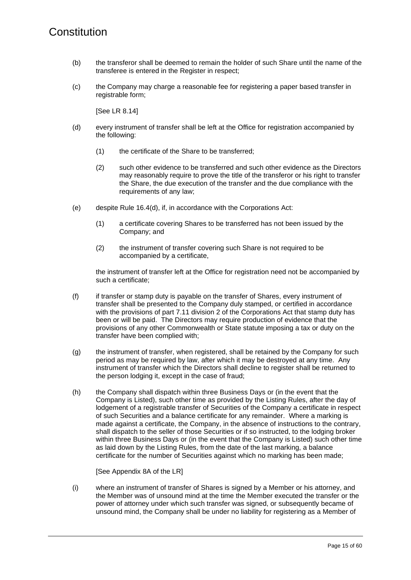- (b) the transferor shall be deemed to remain the holder of such Share until the name of the transferee is entered in the Register in respect;
- <span id="page-18-0"></span>(c) the Company may charge a reasonable fee for registering a paper based transfer in registrable form;

[See LR 8.14]

- <span id="page-18-1"></span>(d) every instrument of transfer shall be left at the Office for registration accompanied by the following:
	- (1) the certificate of the Share to be transferred;
	- (2) such other evidence to be transferred and such other evidence as the Directors may reasonably require to prove the title of the transferor or his right to transfer the Share, the due execution of the transfer and the due compliance with the requirements of any law;
- (e) despite Rule [16.4\(d\),](#page-18-1) if, in accordance with the Corporations Act:
	- (1) a certificate covering Shares to be transferred has not been issued by the Company; and
	- (2) the instrument of transfer covering such Share is not required to be accompanied by a certificate,

the instrument of transfer left at the Office for registration need not be accompanied by such a certificate;

- (f) if transfer or stamp duty is payable on the transfer of Shares, every instrument of transfer shall be presented to the Company duly stamped, or certified in accordance with the provisions of part 7.11 division 2 of the Corporations Act that stamp duty has been or will be paid. The Directors may require production of evidence that the provisions of any other Commonwealth or State statute imposing a tax or duty on the transfer have been complied with;
- (g) the instrument of transfer, when registered, shall be retained by the Company for such period as may be required by law, after which it may be destroyed at any time. Any instrument of transfer which the Directors shall decline to register shall be returned to the person lodging it, except in the case of fraud;
- (h) the Company shall dispatch within three Business Days or (in the event that the Company is Listed), such other time as provided by the Listing Rules, after the day of lodgement of a registrable transfer of Securities of the Company a certificate in respect of such Securities and a balance certificate for any remainder. Where a marking is made against a certificate, the Company, in the absence of instructions to the contrary, shall dispatch to the seller of those Securities or if so instructed, to the lodging broker within three Business Days or (in the event that the Company is Listed) such other time as laid down by the Listing Rules, from the date of the last marking, a balance certificate for the number of Securities against which no marking has been made;

[See Appendix 8A of the LR]

(i) where an instrument of transfer of Shares is signed by a Member or his attorney, and the Member was of unsound mind at the time the Member executed the transfer or the power of attorney under which such transfer was signed, or subsequently became of unsound mind, the Company shall be under no liability for registering as a Member of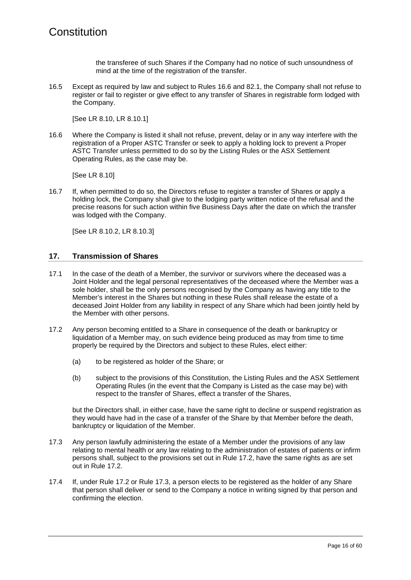the transferee of such Shares if the Company had no notice of such unsoundness of mind at the time of the registration of the transfer.

16.5 Except as required by law and subject to Rules [16.6](#page-19-0) and [82.1,](#page-61-0) the Company shall not refuse to register or fail to register or give effect to any transfer of Shares in registrable form lodged with the Company.

[See LR 8.10, LR 8.10.1]

<span id="page-19-0"></span>16.6 Where the Company is listed it shall not refuse, prevent, delay or in any way interfere with the registration of a Proper ASTC Transfer or seek to apply a holding lock to prevent a Proper ASTC Transfer unless permitted to do so by the Listing Rules or the ASX Settlement Operating Rules, as the case may be.

[See LR 8.10]

16.7 If, when permitted to do so, the Directors refuse to register a transfer of Shares or apply a holding lock, the Company shall give to the lodging party written notice of the refusal and the precise reasons for such action within five Business Days after the date on which the transfer was lodged with the Company.

[See LR 8.10.2, LR 8.10.3]

#### <span id="page-19-4"></span>**17. Transmission of Shares**

- 17.1 In the case of the death of a Member, the survivor or survivors where the deceased was a Joint Holder and the legal personal representatives of the deceased where the Member was a sole holder, shall be the only persons recognised by the Company as having any title to the Member's interest in the Shares but nothing in these Rules shall release the estate of a deceased Joint Holder from any liability in respect of any Share which had been jointly held by the Member with other persons.
- <span id="page-19-1"></span>17.2 Any person becoming entitled to a Share in consequence of the death or bankruptcy or liquidation of a Member may, on such evidence being produced as may from time to time properly be required by the Directors and subject to these Rules, elect either:
	- (a) to be registered as holder of the Share; or
	- (b) subject to the provisions of this Constitution, the Listing Rules and the ASX Settlement Operating Rules (in the event that the Company is Listed as the case may be) with respect to the transfer of Shares, effect a transfer of the Shares,

but the Directors shall, in either case, have the same right to decline or suspend registration as they would have had in the case of a transfer of the Share by that Member before the death, bankruptcy or liquidation of the Member.

- <span id="page-19-2"></span>17.3 Any person lawfully administering the estate of a Member under the provisions of any law relating to mental health or any law relating to the administration of estates of patients or infirm persons shall, subject to the provisions set out in Rule [17.2,](#page-19-1) have the same rights as are set out in Rule [17.2.](#page-19-1)
- <span id="page-19-3"></span>17.4 If, under Rule [17.2](#page-19-1) or Rule [17.3,](#page-19-2) a person elects to be registered as the holder of any Share that person shall deliver or send to the Company a notice in writing signed by that person and confirming the election.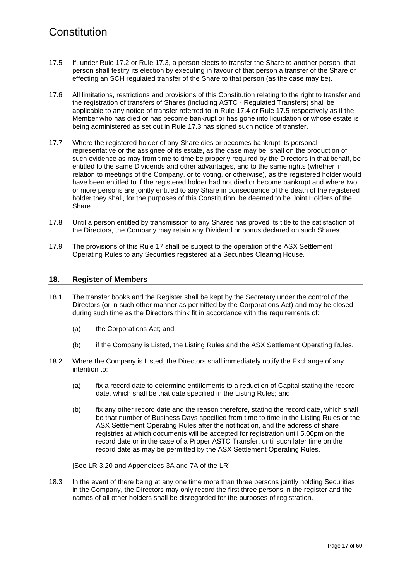- <span id="page-20-0"></span>17.5 If, under Rule [17.2](#page-19-1) or Rule [17.3,](#page-19-2) a person elects to transfer the Share to another person, that person shall testify its election by executing in favour of that person a transfer of the Share or effecting an SCH regulated transfer of the Share to that person (as the case may be).
- 17.6 All limitations, restrictions and provisions of this Constitution relating to the right to transfer and the registration of transfers of Shares (including ASTC - Regulated Transfers) shall be applicable to any notice of transfer referred to in Rule [17.4 o](#page-19-3)r Rule [17.5](#page-20-0) respectively as if the Member who has died or has become bankrupt or has gone into liquidation or whose estate is being administered as set out in Rule [17.3](#page-19-2) has signed such notice of transfer.
- 17.7 Where the registered holder of any Share dies or becomes bankrupt its personal representative or the assignee of its estate, as the case may be, shall on the production of such evidence as may from time to time be properly required by the Directors in that behalf, be entitled to the same Dividends and other advantages, and to the same rights (whether in relation to meetings of the Company, or to voting, or otherwise), as the registered holder would have been entitled to if the registered holder had not died or become bankrupt and where two or more persons are jointly entitled to any Share in consequence of the death of the registered holder they shall, for the purposes of this Constitution, be deemed to be Joint Holders of the Share.
- 17.8 Until a person entitled by transmission to any Shares has proved its title to the satisfaction of the Directors, the Company may retain any Dividend or bonus declared on such Shares.
- 17.9 The provisions of this Rule [17](#page-19-4) shall be subject to the operation of the ASX Settlement Operating Rules to any Securities registered at a Securities Clearing House.

#### **18. Register of Members**

- 18.1 The transfer books and the Register shall be kept by the Secretary under the control of the Directors (or in such other manner as permitted by the Corporations Act) and may be closed during such time as the Directors think fit in accordance with the requirements of:
	- (a) the Corporations Act; and
	- (b) if the Company is Listed, the Listing Rules and the ASX Settlement Operating Rules.
- 18.2 Where the Company is Listed, the Directors shall immediately notify the Exchange of any intention to:
	- (a) fix a record date to determine entitlements to a reduction of Capital stating the record date, which shall be that date specified in the Listing Rules; and
	- (b) fix any other record date and the reason therefore, stating the record date, which shall be that number of Business Days specified from time to time in the Listing Rules or the ASX Settlement Operating Rules after the notification, and the address of share registries at which documents will be accepted for registration until 5.00pm on the record date or in the case of a Proper ASTC Transfer, until such later time on the record date as may be permitted by the ASX Settlement Operating Rules.

[See LR 3.20 and Appendices 3A and 7A of the LR]

18.3 In the event of there being at any one time more than three persons jointly holding Securities in the Company, the Directors may only record the first three persons in the register and the names of all other holders shall be disregarded for the purposes of registration.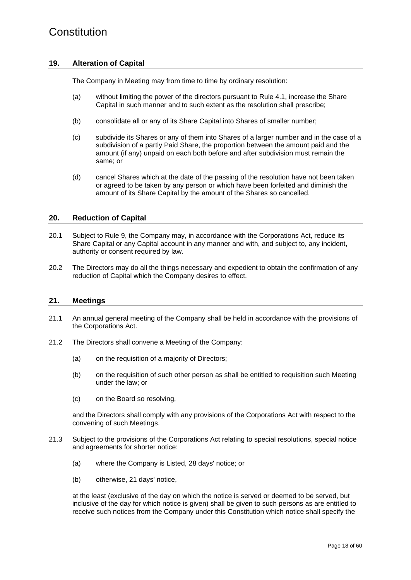#### <span id="page-21-0"></span>**19. Alteration of Capital**

The Company in Meeting may from time to time by ordinary resolution:

- (a) without limiting the power of the directors pursuant to Rule [4.1,](#page-8-1) increase the Share Capital in such manner and to such extent as the resolution shall prescribe;
- (b) consolidate all or any of its Share Capital into Shares of smaller number;
- (c) subdivide its Shares or any of them into Shares of a larger number and in the case of a subdivision of a partly Paid Share, the proportion between the amount paid and the amount (if any) unpaid on each both before and after subdivision must remain the same; or
- (d) cancel Shares which at the date of the passing of the resolution have not been taken or agreed to be taken by any person or which have been forfeited and diminish the amount of its Share Capital by the amount of the Shares so cancelled.

#### **20. Reduction of Capital**

- 20.1 Subject to Rule [9,](#page-10-0) the Company may, in accordance with the Corporations Act, reduce its Share Capital or any Capital account in any manner and with, and subject to, any incident, authority or consent required by law.
- 20.2 The Directors may do all the things necessary and expedient to obtain the confirmation of any reduction of Capital which the Company desires to effect.

#### **21. Meetings**

- 21.1 An annual general meeting of the Company shall be held in accordance with the provisions of the Corporations Act.
- 21.2 The Directors shall convene a Meeting of the Company:
	- (a) on the requisition of a majority of Directors;
	- (b) on the requisition of such other person as shall be entitled to requisition such Meeting under the law; or
	- (c) on the Board so resolving,

and the Directors shall comply with any provisions of the Corporations Act with respect to the convening of such Meetings.

- 21.3 Subject to the provisions of the Corporations Act relating to special resolutions, special notice and agreements for shorter notice:
	- (a) where the Company is Listed, 28 days' notice; or
	- (b) otherwise, 21 days' notice,

at the least (exclusive of the day on which the notice is served or deemed to be served, but inclusive of the day for which notice is given) shall be given to such persons as are entitled to receive such notices from the Company under this Constitution which notice shall specify the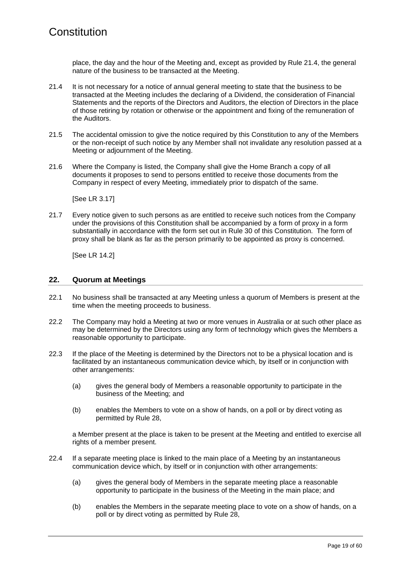place, the day and the hour of the Meeting and, except as provided by Rule [21.4,](#page-22-0) the general nature of the business to be transacted at the Meeting.

- <span id="page-22-0"></span>21.4 It is not necessary for a notice of annual general meeting to state that the business to be transacted at the Meeting includes the declaring of a Dividend, the consideration of Financial Statements and the reports of the Directors and Auditors, the election of Directors in the place of those retiring by rotation or otherwise or the appointment and fixing of the remuneration of the Auditors.
- 21.5 The accidental omission to give the notice required by this Constitution to any of the Members or the non-receipt of such notice by any Member shall not invalidate any resolution passed at a Meeting or adjournment of the Meeting.
- 21.6 Where the Company is listed, the Company shall give the Home Branch a copy of all documents it proposes to send to persons entitled to receive those documents from the Company in respect of every Meeting, immediately prior to dispatch of the same.

[See LR 3.17]

21.7 Every notice given to such persons as are entitled to receive such notices from the Company under the provisions of this Constitution shall be accompanied by a form of proxy in a form substantially in accordance with the form set out in Rule [30](#page-27-0) of this Constitution. The form of proxy shall be blank as far as the person primarily to be appointed as proxy is concerned.

[See LR 14.2]

#### **22. Quorum at Meetings**

- 22.1 No business shall be transacted at any Meeting unless a quorum of Members is present at the time when the meeting proceeds to business.
- <span id="page-22-1"></span>22.2 The Company may hold a Meeting at two or more venues in Australia or at such other place as may be determined by the Directors using any form of technology which gives the Members a reasonable opportunity to participate.
- <span id="page-22-2"></span>22.3 If the place of the Meeting is determined by the Directors not to be a physical location and is facilitated by an instantaneous communication device which, by itself or in conjunction with other arrangements:
	- (a) gives the general body of Members a reasonable opportunity to participate in the business of the Meeting; and
	- (b) enables the Members to vote on a show of hands, on a poll or by direct voting as permitted by Rule [28,](#page-26-0)

a Member present at the place is taken to be present at the Meeting and entitled to exercise all rights of a member present.

- <span id="page-22-3"></span>22.4 If a separate meeting place is linked to the main place of a Meeting by an instantaneous communication device which, by itself or in conjunction with other arrangements:
	- (a) gives the general body of Members in the separate meeting place a reasonable opportunity to participate in the business of the Meeting in the main place; and
	- (b) enables the Members in the separate meeting place to vote on a show of hands, on a poll or by direct voting as permitted by Rule [28,](#page-26-0)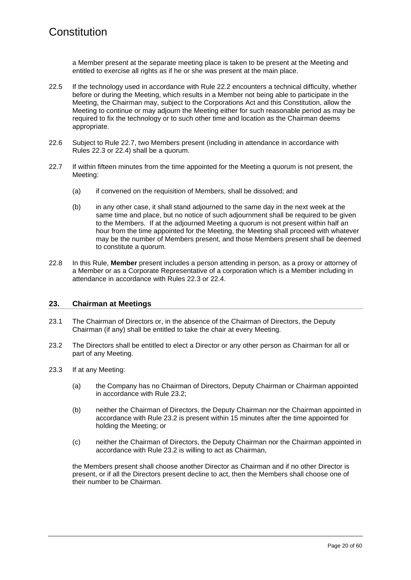a Member present at the separate meeting place is taken to be present at the Meeting and entitled to exercise all rights as if he or she was present at the main place.

- 22.5 If the technology used in accordance with Rule [22.2](#page-22-1) encounters a technical difficulty, whether before or during the Meeting, which results in a Member not being able to participate in the Meeting, the Chairman may, subject to the Corporations Act and this Constitution, allow the Meeting to continue or may adjourn the Meeting either for such reasonable period as may be required to fix the technology or to such other time and location as the Chairman deems appropriate.
- 22.6 Subject to Rule [22.7,](#page-23-0) two Members present (including in attendance in accordance with Rules [22.3](#page-22-2) or [22.4\)](#page-22-3) shall be a quorum.
- <span id="page-23-0"></span>22.7 If within fifteen minutes from the time appointed for the Meeting a quorum is not present, the Meeting:
	- (a) if convened on the requisition of Members, shall be dissolved; and
	- (b) in any other case, it shall stand adjourned to the same day in the next week at the same time and place, but no notice of such adjournment shall be required to be given to the Members. If at the adjourned Meeting a quorum is not present within half an hour from the time appointed for the Meeting, the Meeting shall proceed with whatever may be the number of Members present, and those Members present shall be deemed to constitute a quorum.
- 22.8 In this Rule, **Member** present includes a person attending in person, as a proxy or attorney of a Member or as a Corporate Representative of a corporation which is a Member including in attendance in accordance with Rules [22.3](#page-22-2) or [22.4.](#page-22-3)

#### **23. Chairman at Meetings**

- 23.1 The Chairman of Directors or, in the absence of the Chairman of Directors, the Deputy Chairman (if any) shall be entitled to take the chair at every Meeting.
- <span id="page-23-1"></span>23.2 The Directors shall be entitled to elect a Director or any other person as Chairman for all or part of any Meeting.
- 23.3 If at any Meeting:
	- (a) the Company has no Chairman of Directors, Deputy Chairman or Chairman appointed in accordance with Rule [23.2;](#page-23-1)
	- (b) neither the Chairman of Directors, the Deputy Chairman nor the Chairman appointed in accordance with Rule [23.2](#page-23-1) is present within 15 minutes after the time appointed for holding the Meeting; or
	- (c) neither the Chairman of Directors, the Deputy Chairman nor the Chairman appointed in accordance with Rule [23.2](#page-23-1) is willing to act as Chairman,

the Members present shall choose another Director as Chairman and if no other Director is present, or if all the Directors present decline to act, then the Members shall choose one of their number to be Chairman.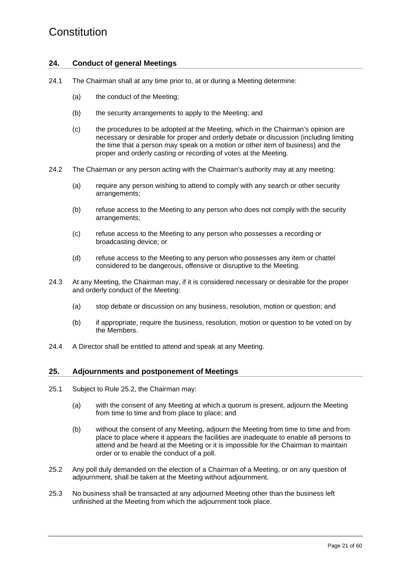#### **24. Conduct of general Meetings**

- 24.1 The Chairman shall at any time prior to, at or during a Meeting determine:
	- (a) the conduct of the Meeting;
	- (b) the security arrangements to apply to the Meeting; and
	- (c) the procedures to be adopted at the Meeting, which in the Chairman's opinion are necessary or desirable for proper and orderly debate or discussion (including limiting the time that a person may speak on a motion or other item of business) and the proper and orderly casting or recording of votes at the Meeting.
- 24.2 The Chairman or any person acting with the Chairman's authority may at any meeting:
	- (a) require any person wishing to attend to comply with any search or other security arrangements;
	- (b) refuse access to the Meeting to any person who does not comply with the security arrangements;
	- (c) refuse access to the Meeting to any person who possesses a recording or broadcasting device; or
	- (d) refuse access to the Meeting to any person who possesses any item or chattel considered to be dangerous, offensive or disruptive to the Meeting.
- 24.3 At any Meeting, the Chairman may, if it is considered necessary or desirable for the proper and orderly conduct of the Meeting:
	- (a) stop debate or discussion on any business, resolution, motion or question; and
	- (b) if appropriate, require the business, resolution, motion or question to be voted on by the Members.
- 24.4 A Director shall be entitled to attend and speak at any Meeting.

#### **25. Adjournments and postponement of Meetings**

- 25.1 Subject to Rule [25.2,](#page-24-0) the Chairman may:
	- (a) with the consent of any Meeting at which a quorum is present, adjourn the Meeting from time to time and from place to place; and
	- (b) without the consent of any Meeting, adjourn the Meeting from time to time and from place to place where it appears the facilities are inadequate to enable all persons to attend and be heard at the Meeting or it is impossible for the Chairman to maintain order or to enable the conduct of a poll.
- <span id="page-24-0"></span>25.2 Any poll duly demanded on the election of a Chairman of a Meeting, or on any question of adjournment, shall be taken at the Meeting without adjournment.
- 25.3 No business shall be transacted at any adjourned Meeting other than the business left unfinished at the Meeting from which the adjournment took place.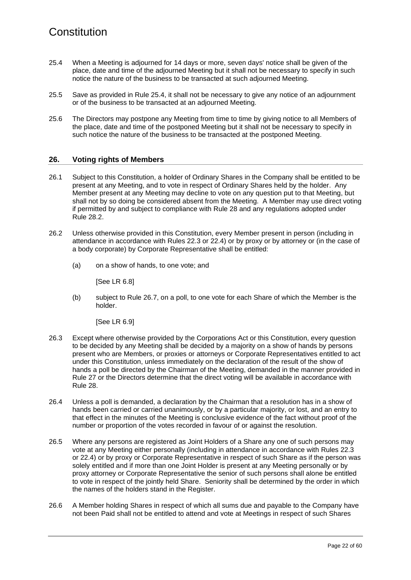- <span id="page-25-0"></span>25.4 When a Meeting is adjourned for 14 days or more, seven days' notice shall be given of the place, date and time of the adjourned Meeting but it shall not be necessary to specify in such notice the nature of the business to be transacted at such adjourned Meeting.
- 25.5 Save as provided in Rule [25.4,](#page-25-0) it shall not be necessary to give any notice of an adjournment or of the business to be transacted at an adjourned Meeting.
- 25.6 The Directors may postpone any Meeting from time to time by giving notice to all Members of the place, date and time of the postponed Meeting but it shall not be necessary to specify in such notice the nature of the business to be transacted at the postponed Meeting.

#### **26. Voting rights of Members**

- 26.1 Subject to this Constitution, a holder of Ordinary Shares in the Company shall be entitled to be present at any Meeting, and to vote in respect of Ordinary Shares held by the holder. Any Member present at any Meeting may decline to vote on any question put to that Meeting, but shall not by so doing be considered absent from the Meeting. A Member may use direct voting if permitted by and subject to compliance with Rule [28](#page-26-0) and any regulations adopted under Rule [28.2.](#page-26-1)
- 26.2 Unless otherwise provided in this Constitution, every Member present in person (including in attendance in accordance with Rules [22.3](#page-22-2) or [22.4\)](#page-22-3) or by proxy or by attorney or (in the case of a body corporate) by Corporate Representative shall be entitled:
	- (a) on a show of hands, to one vote; and

[See LR 6.8]

(b) subject to Rule [26.7,](#page-26-2) on a poll, to one vote for each Share of which the Member is the holder.

[See LR 6.9]

- 26.3 Except where otherwise provided by the Corporations Act or this Constitution, every question to be decided by any Meeting shall be decided by a majority on a show of hands by persons present who are Members, or proxies or attorneys or Corporate Representatives entitled to act under this Constitution, unless immediately on the declaration of the result of the show of hands a poll be directed by the Chairman of the Meeting, demanded in the manner provided in Rule [27](#page-26-3) or the Directors determine that the direct voting will be available in accordance with Rule [28.](#page-26-0)
- 26.4 Unless a poll is demanded, a declaration by the Chairman that a resolution has in a show of hands been carried or carried unanimously, or by a particular majority, or lost, and an entry to that effect in the minutes of the Meeting is conclusive evidence of the fact without proof of the number or proportion of the votes recorded in favour of or against the resolution.
- 26.5 Where any persons are registered as Joint Holders of a Share any one of such persons may vote at any Meeting either personally (including in attendance in accordance with Rules [22.3](#page-22-2) or [22.4\)](#page-22-3) or by proxy or Corporate Representative in respect of such Share as if the person was solely entitled and if more than one Joint Holder is present at any Meeting personally or by proxy attorney or Corporate Representative the senior of such persons shall alone be entitled to vote in respect of the jointly held Share. Seniority shall be determined by the order in which the names of the holders stand in the Register.
- 26.6 A Member holding Shares in respect of which all sums due and payable to the Company have not been Paid shall not be entitled to attend and vote at Meetings in respect of such Shares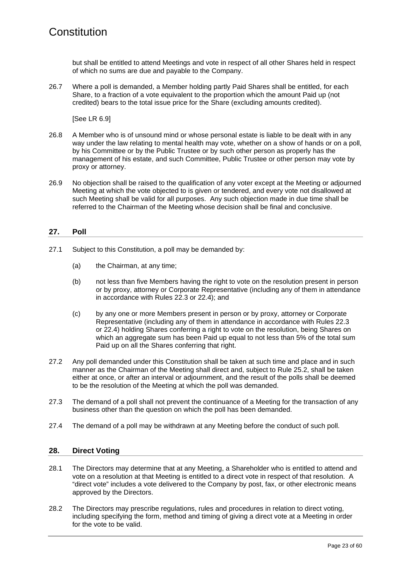but shall be entitled to attend Meetings and vote in respect of all other Shares held in respect of which no sums are due and payable to the Company.

<span id="page-26-2"></span>26.7 Where a poll is demanded, a Member holding partly Paid Shares shall be entitled, for each Share, to a fraction of a vote equivalent to the proportion which the amount Paid up (not credited) bears to the total issue price for the Share (excluding amounts credited).

[See LR 6.9]

- 26.8 A Member who is of unsound mind or whose personal estate is liable to be dealt with in any way under the law relating to mental health may vote, whether on a show of hands or on a poll, by his Committee or by the Public Trustee or by such other person as properly has the management of his estate, and such Committee, Public Trustee or other person may vote by proxy or attorney.
- 26.9 No objection shall be raised to the qualification of any voter except at the Meeting or adjourned Meeting at which the vote objected to is given or tendered, and every vote not disallowed at such Meeting shall be valid for all purposes. Any such objection made in due time shall be referred to the Chairman of the Meeting whose decision shall be final and conclusive.

#### <span id="page-26-3"></span>**27. Poll**

- 27.1 Subject to this Constitution, a poll may be demanded by:
	- (a) the Chairman, at any time;
	- (b) not less than five Members having the right to vote on the resolution present in person or by proxy, attorney or Corporate Representative (including any of them in attendance in accordance with Rules [22.3](#page-22-2) or [22.4\)](#page-22-3); and
	- (c) by any one or more Members present in person or by proxy, attorney or Corporate Representative (including any of them in attendance in accordance with Rules [22.3](#page-22-2) or [22.4\)](#page-22-3) holding Shares conferring a right to vote on the resolution, being Shares on which an aggregate sum has been Paid up equal to not less than 5% of the total sum Paid up on all the Shares conferring that right.
- 27.2 Any poll demanded under this Constitution shall be taken at such time and place and in such manner as the Chairman of the Meeting shall direct and, subject to Rule [25.2,](#page-24-0) shall be taken either at once, or after an interval or adjournment, and the result of the polls shall be deemed to be the resolution of the Meeting at which the poll was demanded.
- 27.3 The demand of a poll shall not prevent the continuance of a Meeting for the transaction of any business other than the question on which the poll has been demanded.
- 27.4 The demand of a poll may be withdrawn at any Meeting before the conduct of such poll.

#### <span id="page-26-0"></span>**28. Direct Voting**

- 28.1 The Directors may determine that at any Meeting, a Shareholder who is entitled to attend and vote on a resolution at that Meeting is entitled to a direct vote in respect of that resolution. A "direct vote" includes a vote delivered to the Company by post, fax, or other electronic means approved by the Directors.
- <span id="page-26-1"></span>28.2 The Directors may prescribe regulations, rules and procedures in relation to direct voting, including specifying the form, method and timing of giving a direct vote at a Meeting in order for the vote to be valid.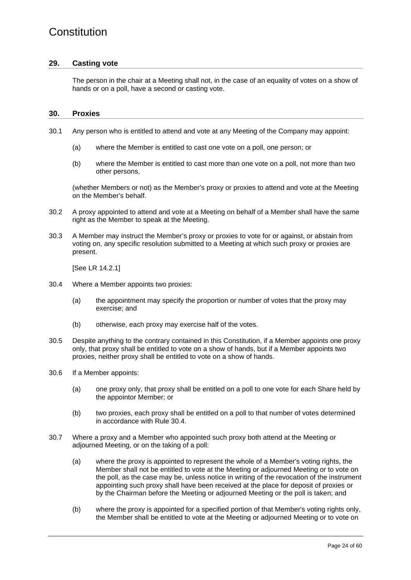#### **29. Casting vote**

The person in the chair at a Meeting shall not, in the case of an equality of votes on a show of hands or on a poll, have a second or casting vote.

#### <span id="page-27-0"></span>**30. Proxies**

- 30.1 Any person who is entitled to attend and vote at any Meeting of the Company may appoint:
	- (a) where the Member is entitled to cast one vote on a poll, one person; or
	- (b) where the Member is entitled to cast more than one vote on a poll, not more than two other persons,

(whether Members or not) as the Member's proxy or proxies to attend and vote at the Meeting on the Member's behalf.

- 30.2 A proxy appointed to attend and vote at a Meeting on behalf of a Member shall have the same right as the Member to speak at the Meeting.
- 30.3 A Member may instruct the Member's proxy or proxies to vote for or against, or abstain from voting on, any specific resolution submitted to a Meeting at which such proxy or proxies are present.

[See LR 14.2.1]

- <span id="page-27-1"></span>30.4 Where a Member appoints two proxies:
	- (a) the appointment may specify the proportion or number of votes that the proxy may exercise; and
	- (b) otherwise, each proxy may exercise half of the votes.
- 30.5 Despite anything to the contrary contained in this Constitution, if a Member appoints one proxy only, that proxy shall be entitled to vote on a show of hands, but if a Member appoints two proxies, neither proxy shall be entitled to vote on a show of hands.
- 30.6 If a Member appoints:
	- (a) one proxy only, that proxy shall be entitled on a poll to one vote for each Share held by the appointor Member; or
	- (b) two proxies, each proxy shall be entitled on a poll to that number of votes determined in accordance with Rule [30.4.](#page-27-1)
- 30.7 Where a proxy and a Member who appointed such proxy both attend at the Meeting or adjourned Meeting, or on the taking of a poll:
	- (a) where the proxy is appointed to represent the whole of a Member's voting rights, the Member shall not be entitled to vote at the Meeting or adjourned Meeting or to vote on the poll, as the case may be, unless notice in writing of the revocation of the instrument appointing such proxy shall have been received at the place for deposit of proxies or by the Chairman before the Meeting or adjourned Meeting or the poll is taken; and
	- (b) where the proxy is appointed for a specified portion of that Member's voting rights only, the Member shall be entitled to vote at the Meeting or adjourned Meeting or to vote on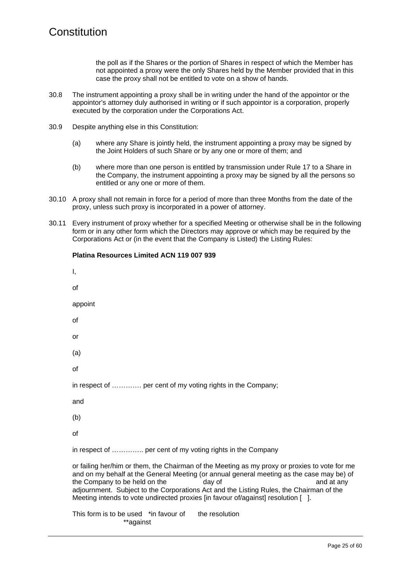the poll as if the Shares or the portion of Shares in respect of which the Member has not appointed a proxy were the only Shares held by the Member provided that in this case the proxy shall not be entitled to vote on a show of hands.

- <span id="page-28-0"></span>30.8 The instrument appointing a proxy shall be in writing under the hand of the appointor or the appointor's attorney duly authorised in writing or if such appointor is a corporation, properly executed by the corporation under the Corporations Act.
- 30.9 Despite anything else in this Constitution:

**Platina Resources Limited ACN 119 007 939** 

- (a) where any Share is jointly held, the instrument appointing a proxy may be signed by the Joint Holders of such Share or by any one or more of them; and
- (b) where more than one person is entitled by transmission under Rule [17](#page-19-4) to a Share in the Company, the instrument appointing a proxy may be signed by all the persons so entitled or any one or more of them.
- 30.10 A proxy shall not remain in force for a period of more than three Months from the date of the proxy, unless such proxy is incorporated in a power of attorney.
- 30.11 Every instrument of proxy whether for a specified Meeting or otherwise shall be in the following form or in any other form which the Directors may approve or which may be required by the Corporations Act or (in the event that the Company is Listed) the Listing Rules:

| Ι,                                                                                                                                                                                                                                                                                                                                                                                                                                 |
|------------------------------------------------------------------------------------------------------------------------------------------------------------------------------------------------------------------------------------------------------------------------------------------------------------------------------------------------------------------------------------------------------------------------------------|
| of                                                                                                                                                                                                                                                                                                                                                                                                                                 |
| appoint                                                                                                                                                                                                                                                                                                                                                                                                                            |
| οf                                                                                                                                                                                                                                                                                                                                                                                                                                 |
| or                                                                                                                                                                                                                                                                                                                                                                                                                                 |
| (a)                                                                                                                                                                                                                                                                                                                                                                                                                                |
| of                                                                                                                                                                                                                                                                                                                                                                                                                                 |
| in respect of  per cent of my voting rights in the Company;                                                                                                                                                                                                                                                                                                                                                                        |
| and                                                                                                                                                                                                                                                                                                                                                                                                                                |
| (b)                                                                                                                                                                                                                                                                                                                                                                                                                                |
| of                                                                                                                                                                                                                                                                                                                                                                                                                                 |
| in respect of  per cent of my voting rights in the Company                                                                                                                                                                                                                                                                                                                                                                         |
| or failing her/him or them, the Chairman of the Meeting as my proxy or proxies to vote for me<br>and on my behalf at the General Meeting (or annual general meeting as the case may be) of<br>the Company to be held on the<br>day of<br>and at any<br>adjournment. Subject to the Corporations Act and the Listing Rules, the Chairman of the<br>Meeting intends to vote undirected proxies [in favour of/against] resolution []. |
| This form is to be used *in favour of<br>the resolution<br>**against                                                                                                                                                                                                                                                                                                                                                               |
|                                                                                                                                                                                                                                                                                                                                                                                                                                    |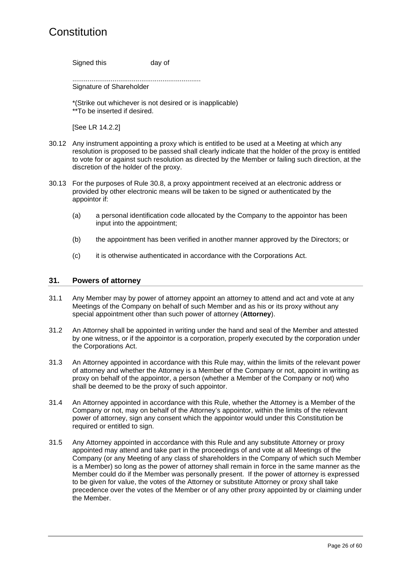Signed this day of

...................................................................

Signature of Shareholder

\*(Strike out whichever is not desired or is inapplicable) \*\*To be inserted if desired.

[See LR 14.2.2]

- 30.12 Any instrument appointing a proxy which is entitled to be used at a Meeting at which any resolution is proposed to be passed shall clearly indicate that the holder of the proxy is entitled to vote for or against such resolution as directed by the Member or failing such direction, at the discretion of the holder of the proxy.
- 30.13 For the purposes of Rule [30.8,](#page-28-0) a proxy appointment received at an electronic address or provided by other electronic means will be taken to be signed or authenticated by the appointor if:
	- (a) a personal identification code allocated by the Company to the appointor has been input into the appointment;
	- (b) the appointment has been verified in another manner approved by the Directors; or
	- (c) it is otherwise authenticated in accordance with the Corporations Act.

#### <span id="page-29-0"></span>**31. Powers of attorney**

- 31.1 Any Member may by power of attorney appoint an attorney to attend and act and vote at any Meetings of the Company on behalf of such Member and as his or its proxy without any special appointment other than such power of attorney (**Attorney**).
- 31.2 An Attorney shall be appointed in writing under the hand and seal of the Member and attested by one witness, or if the appointor is a corporation, properly executed by the corporation under the Corporations Act.
- 31.3 An Attorney appointed in accordance with this Rule may, within the limits of the relevant power of attorney and whether the Attorney is a Member of the Company or not, appoint in writing as proxy on behalf of the appointor, a person (whether a Member of the Company or not) who shall be deemed to be the proxy of such appointor.
- 31.4 An Attorney appointed in accordance with this Rule, whether the Attorney is a Member of the Company or not, may on behalf of the Attorney's appointor, within the limits of the relevant power of attorney, sign any consent which the appointor would under this Constitution be required or entitled to sign.
- 31.5 Any Attorney appointed in accordance with this Rule and any substitute Attorney or proxy appointed may attend and take part in the proceedings of and vote at all Meetings of the Company (or any Meeting of any class of shareholders in the Company of which such Member is a Member) so long as the power of attorney shall remain in force in the same manner as the Member could do if the Member was personally present. If the power of attorney is expressed to be given for value, the votes of the Attorney or substitute Attorney or proxy shall take precedence over the votes of the Member or of any other proxy appointed by or claiming under the Member.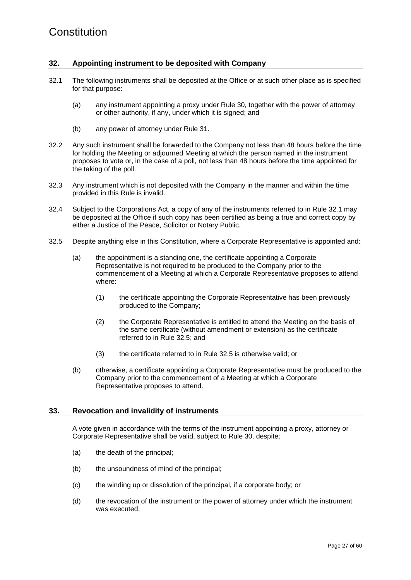#### **32. Appointing instrument to be deposited with Company**

- <span id="page-30-0"></span>32.1 The following instruments shall be deposited at the Office or at such other place as is specified for that purpose:
	- (a) any instrument appointing a proxy under Rule [30,](#page-27-0) together with the power of attorney or other authority, if any, under which it is signed; and
	- (b) any power of attorney under Rule [31.](#page-29-0)
- 32.2 Any such instrument shall be forwarded to the Company not less than 48 hours before the time for holding the Meeting or adjourned Meeting at which the person named in the instrument proposes to vote or, in the case of a poll, not less than 48 hours before the time appointed for the taking of the poll.
- 32.3 Any instrument which is not deposited with the Company in the manner and within the time provided in this Rule is invalid.
- 32.4 Subject to the Corporations Act, a copy of any of the instruments referred to in Rule [32.1](#page-30-0) may be deposited at the Office if such copy has been certified as being a true and correct copy by either a Justice of the Peace, Solicitor or Notary Public.
- <span id="page-30-1"></span>32.5 Despite anything else in this Constitution, where a Corporate Representative is appointed and:
	- (a) the appointment is a standing one, the certificate appointing a Corporate Representative is not required to be produced to the Company prior to the commencement of a Meeting at which a Corporate Representative proposes to attend where:
		- (1) the certificate appointing the Corporate Representative has been previously produced to the Company;
		- (2) the Corporate Representative is entitled to attend the Meeting on the basis of the same certificate (without amendment or extension) as the certificate referred to in Rule [32.5;](#page-30-1) and
		- (3) the certificate referred to in Rule [32.5](#page-30-1) is otherwise valid; or
	- (b) otherwise, a certificate appointing a Corporate Representative must be produced to the Company prior to the commencement of a Meeting at which a Corporate Representative proposes to attend.

#### **33. Revocation and invalidity of instruments**

A vote given in accordance with the terms of the instrument appointing a proxy, attorney or Corporate Representative shall be valid, subject to Rule [30,](#page-27-0) despite;

- (a) the death of the principal;
- (b) the unsoundness of mind of the principal;
- (c) the winding up or dissolution of the principal, if a corporate body; or
- (d) the revocation of the instrument or the power of attorney under which the instrument was executed,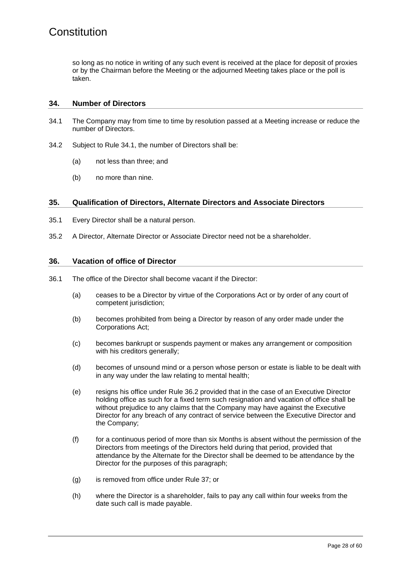so long as no notice in writing of any such event is received at the place for deposit of proxies or by the Chairman before the Meeting or the adjourned Meeting takes place or the poll is taken.

#### **34. Number of Directors**

- <span id="page-31-0"></span>34.1 The Company may from time to time by resolution passed at a Meeting increase or reduce the number of Directors.
- 34.2 Subject to Rule [34.1,](#page-31-0) the number of Directors shall be:
	- (a) not less than three; and
	- (b) no more than nine.

#### <span id="page-31-1"></span>**35. Qualification of Directors, Alternate Directors and Associate Directors**

- 35.1 Every Director shall be a natural person.
- 35.2 A Director, Alternate Director or Associate Director need not be a shareholder.

#### **36. Vacation of office of Director**

- <span id="page-31-3"></span><span id="page-31-2"></span>36.1 The office of the Director shall become vacant if the Director:
	- (a) ceases to be a Director by virtue of the Corporations Act or by order of any court of competent jurisdiction;
	- (b) becomes prohibited from being a Director by reason of any order made under the Corporations Act;
	- (c) becomes bankrupt or suspends payment or makes any arrangement or composition with his creditors generally;
	- (d) becomes of unsound mind or a person whose person or estate is liable to be dealt with in any way under the law relating to mental health;
	- (e) resigns his office under Rule [36.2](#page-32-0) provided that in the case of an Executive Director holding office as such for a fixed term such resignation and vacation of office shall be without prejudice to any claims that the Company may have against the Executive Director for any breach of any contract of service between the Executive Director and the Company;
	- (f) for a continuous period of more than six Months is absent without the permission of the Directors from meetings of the Directors held during that period, provided that attendance by the Alternate for the Director shall be deemed to be attendance by the Director for the purposes of this paragraph;
	- (g) is removed from office under Rule [37;](#page-32-1) or
	- (h) where the Director is a shareholder, fails to pay any call within four weeks from the date such call is made payable.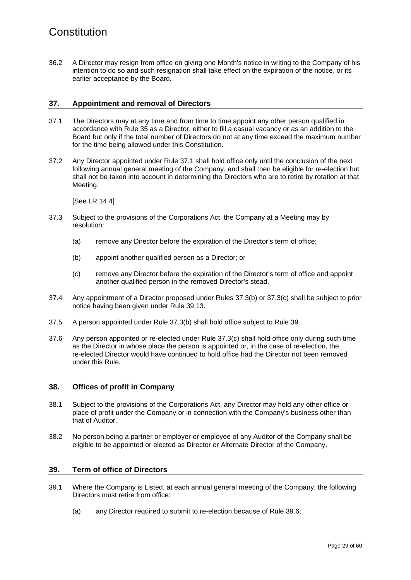<span id="page-32-0"></span>36.2 A Director may resign from office on giving one Month's notice in writing to the Company of his intention to do so and such resignation shall take effect on the expiration of the notice, or its earlier acceptance by the Board.

#### <span id="page-32-1"></span>**37. Appointment and removal of Directors**

- <span id="page-32-2"></span>37.1 The Directors may at any time and from time to time appoint any other person qualified in accordance with Rule [35](#page-31-1) as a Director, either to fill a casual vacancy or as an addition to the Board but only if the total number of Directors do not at any time exceed the maximum number for the time being allowed under this Constitution.
- <span id="page-32-6"></span>37.2 Any Director appointed under Rule [37.1](#page-32-2) shall hold office only until the conclusion of the next following annual general meeting of the Company, and shall then be eligible for re-election but shall not be taken into account in determining the Directors who are to retire by rotation at that Meeting.

[See LR 14.4]

- <span id="page-32-3"></span>37.3 Subject to the provisions of the Corporations Act, the Company at a Meeting may by resolution:
	- (a) remove any Director before the expiration of the Director's term of office;
	- (b) appoint another qualified person as a Director; or
	- (c) remove any Director before the expiration of the Director's term of office and appoint another qualified person in the removed Director's stead.
- <span id="page-32-4"></span>37.4 Any appointment of a Director proposed under Rules [37.3\(b\)](#page-32-3) or [37.3\(c\)](#page-32-4) shall be subject to prior notice having been given under Rule [39.13.](#page-34-0)
- 37.5 A person appointed under Rule [37.3\(b\)](#page-32-3) shall hold office subject to Rule [39.](#page-32-5)
- 37.6 Any person appointed or re-elected under Rule [37.3\(c\)](#page-32-4) shall hold office only during such time as the Director in whose place the person is appointed or, in the case of re-election, the re-elected Director would have continued to hold office had the Director not been removed under this Rule.

#### **38. Offices of profit in Company**

- 38.1 Subject to the provisions of the Corporations Act, any Director may hold any other office or place of profit under the Company or in connection with the Company's business other than that of Auditor.
- 38.2 No person being a partner or employer or employee of any Auditor of the Company shall be eligible to be appointed or elected as Director or Alternate Director of the Company.

#### <span id="page-32-5"></span>**39. Term of office of Directors**

- <span id="page-32-7"></span>39.1 Where the Company is Listed, at each annual general meeting of the Company, the following Directors must retire from office:
	- (a) any Director required to submit to re-election because of Rule [39.6;](#page-33-0)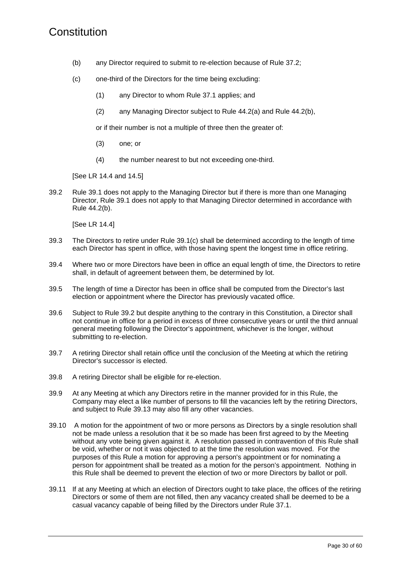- (b) any Director required to submit to re-election because of Rule [37.2;](#page-32-6)
- <span id="page-33-1"></span>(c) one-third of the Directors for the time being excluding:
	- (1) any Director to whom Rule [37.1](#page-32-2) applies; and
	- (2) any Managing Director subject to Rule [44.2\(a\)](#page-37-1) and Rule [44.2\(b\),](#page-37-2)

or if their number is not a multiple of three then the greater of:

- (3) one; or
- (4) the number nearest to but not exceeding one-third.

[See LR 14.4 and 14.5]

<span id="page-33-2"></span>39.2 Rule [39.1](#page-32-7) does not apply to the Managing Director but if there is more than one Managing Director, Rule [39.1 d](#page-32-7)oes not apply to that Managing Director determined in accordance with Rule [44.2\(b\).](#page-37-2)

[See LR 14.4]

- 39.3 The Directors to retire under Rule [39.1\(c\)](#page-33-1) shall be determined according to the length of time each Director has spent in office, with those having spent the longest time in office retiring.
- 39.4 Where two or more Directors have been in office an equal length of time, the Directors to retire shall, in default of agreement between them, be determined by lot.
- 39.5 The length of time a Director has been in office shall be computed from the Director's last election or appointment where the Director has previously vacated office.
- <span id="page-33-0"></span>39.6 Subject to Rule [39.2](#page-33-2) but despite anything to the contrary in this Constitution, a Director shall not continue in office for a period in excess of three consecutive years or until the third annual general meeting following the Director's appointment, whichever is the longer, without submitting to re-election.
- 39.7 A retiring Director shall retain office until the conclusion of the Meeting at which the retiring Director's successor is elected.
- <span id="page-33-3"></span>39.8 A retiring Director shall be eligible for re-election.
- 39.9 At any Meeting at which any Directors retire in the manner provided for in this Rule, the Company may elect a like number of persons to fill the vacancies left by the retiring Directors, and subject to Rule [39.13](#page-34-0) may also fill any other vacancies.
- 39.10 A motion for the appointment of two or more persons as Directors by a single resolution shall not be made unless a resolution that it be so made has been first agreed to by the Meeting without any vote being given against it. A resolution passed in contravention of this Rule shall be void, whether or not it was objected to at the time the resolution was moved. For the purposes of this Rule a motion for approving a person's appointment or for nominating a person for appointment shall be treated as a motion for the person's appointment. Nothing in this Rule shall be deemed to prevent the election of two or more Directors by ballot or poll.
- 39.11 If at any Meeting at which an election of Directors ought to take place, the offices of the retiring Directors or some of them are not filled, then any vacancy created shall be deemed to be a casual vacancy capable of being filled by the Directors under Rule [37.1.](#page-32-2)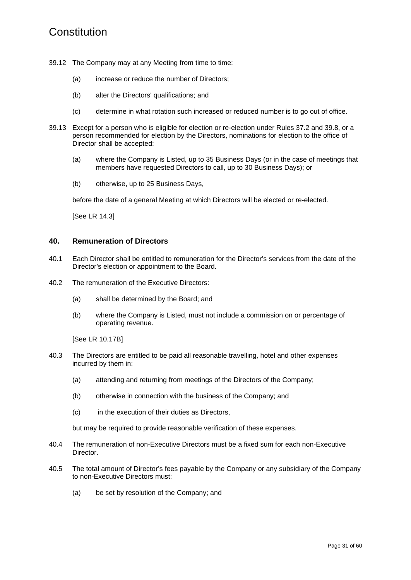- 39.12 The Company may at any Meeting from time to time:
	- (a) increase or reduce the number of Directors;
	- (b) alter the Directors' qualifications; and
	- (c) determine in what rotation such increased or reduced number is to go out of office.
- <span id="page-34-0"></span>39.13 Except for a person who is eligible for election or re-election under Rules [37.2](#page-32-6) and [39.8,](#page-33-3) or a person recommended for election by the Directors, nominations for election to the office of Director shall be accepted:
	- (a) where the Company is Listed, up to 35 Business Days (or in the case of meetings that members have requested Directors to call, up to 30 Business Days); or
	- (b) otherwise, up to 25 Business Days,

before the date of a general Meeting at which Directors will be elected or re-elected.

[See LR 14.3]

#### <span id="page-34-2"></span>**40. Remuneration of Directors**

- 40.1 Each Director shall be entitled to remuneration for the Director's services from the date of the Director's election or appointment to the Board.
- 40.2 The remuneration of the Executive Directors:
	- (a) shall be determined by the Board; and
	- (b) where the Company is Listed, must not include a commission on or percentage of operating revenue.

[See LR 10.17B]

- 40.3 The Directors are entitled to be paid all reasonable travelling, hotel and other expenses incurred by them in:
	- (a) attending and returning from meetings of the Directors of the Company;
	- (b) otherwise in connection with the business of the Company; and
	- (c) in the execution of their duties as Directors,

but may be required to provide reasonable verification of these expenses.

- 40.4 The remuneration of non-Executive Directors must be a fixed sum for each non-Executive Director.
- <span id="page-34-1"></span>40.5 The total amount of Director's fees payable by the Company or any subsidiary of the Company to non-Executive Directors must:
	- (a) be set by resolution of the Company; and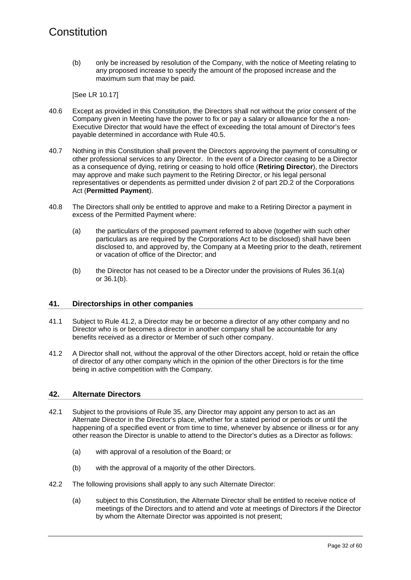(b) only be increased by resolution of the Company, with the notice of Meeting relating to any proposed increase to specify the amount of the proposed increase and the maximum sum that may be paid.

[See LR 10.17]

- 40.6 Except as provided in this Constitution, the Directors shall not without the prior consent of the Company given in Meeting have the power to fix or pay a salary or allowance for the a non-Executive Director that would have the effect of exceeding the total amount of Director's fees payable determined in accordance with Rule [40.5.](#page-34-1)
- 40.7 Nothing in this Constitution shall prevent the Directors approving the payment of consulting or other professional services to any Director. In the event of a Director ceasing to be a Director as a consequence of dying, retiring or ceasing to hold office (**Retiring Director**), the Directors may approve and make such payment to the Retiring Director, or his legal personal representatives or dependents as permitted under division 2 of part 2D.2 of the Corporations Act (**Permitted Payment**).
- 40.8 The Directors shall only be entitled to approve and make to a Retiring Director a payment in excess of the Permitted Payment where:
	- (a) the particulars of the proposed payment referred to above (together with such other particulars as are required by the Corporations Act to be disclosed) shall have been disclosed to, and approved by, the Company at a Meeting prior to the death, retirement or vacation of office of the Director; and
	- (b) the Director has not ceased to be a Director under the provisions of Rules [36.1\(a\)](#page-31-2) or [36.1\(b\).](#page-31-3)

#### **41. Directorships in other companies**

- 41.1 Subject to Rule [41.2,](#page-35-0) a Director may be or become a director of any other company and no Director who is or becomes a director in another company shall be accountable for any benefits received as a director or Member of such other company.
- <span id="page-35-0"></span>41.2 A Director shall not, without the approval of the other Directors accept, hold or retain the office of director of any other company which in the opinion of the other Directors is for the time being in active competition with the Company.

#### **42. Alternate Directors**

- 42.1 Subject to the provisions of Rule [35,](#page-31-1) any Director may appoint any person to act as an Alternate Director in the Director's place, whether for a stated period or periods or until the happening of a specified event or from time to time, whenever by absence or illness or for any other reason the Director is unable to attend to the Director's duties as a Director as follows:
	- (a) with approval of a resolution of the Board; or
	- (b) with the approval of a majority of the other Directors.
- 42.2 The following provisions shall apply to any such Alternate Director:
	- (a) subject to this Constitution, the Alternate Director shall be entitled to receive notice of meetings of the Directors and to attend and vote at meetings of Directors if the Director by whom the Alternate Director was appointed is not present;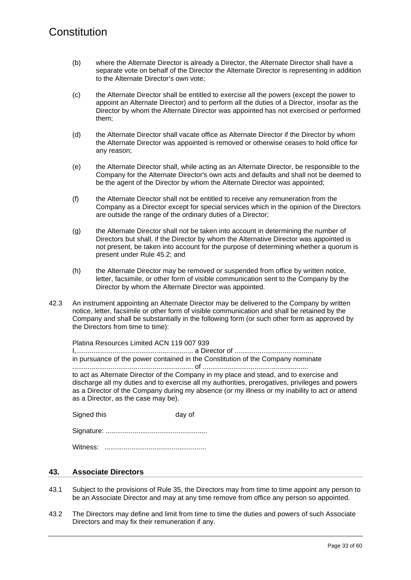- (b) where the Alternate Director is already a Director, the Alternate Director shall have a separate vote on behalf of the Director the Alternate Director is representing in addition to the Alternate Director's own vote;
- (c) the Alternate Director shall be entitled to exercise all the powers (except the power to appoint an Alternate Director) and to perform all the duties of a Director, insofar as the Director by whom the Alternate Director was appointed has not exercised or performed them;
- (d) the Alternate Director shall vacate office as Alternate Director if the Director by whom the Alternate Director was appointed is removed or otherwise ceases to hold office for any reason;
- (e) the Alternate Director shall, while acting as an Alternate Director, be responsible to the Company for the Alternate Director's own acts and defaults and shall not be deemed to be the agent of the Director by whom the Alternate Director was appointed;
- (f) the Alternate Director shall not be entitled to receive any remuneration from the Company as a Director except for special services which in the opinion of the Directors are outside the range of the ordinary duties of a Director;
- (g) the Alternate Director shall not be taken into account in determining the number of Directors but shall, if the Director by whom the Alternative Director was appointed is not present, be taken into account for the purpose of determining whether a quorum is present under Rule [45.2;](#page-38-0) and
- (h) the Alternate Director may be removed or suspended from office by written notice, letter, facsimile, or other form of visible communication sent to the Company by the Director by whom the Alternate Director was appointed.
- 42.3 An instrument appointing an Alternate Director may be delivered to the Company by written notice, letter, facsimile or other form of visible communication and shall be retained by the Company and shall be substantially in the following form (or such other form as approved by the Directors from time to time):

Platina Resources Limited ACN 119 007 939

I,............................................................. a Director of ......................................... in pursuance of the power contained in the Constitution of the Company nominate ............................................................... of ....................................................... to act as Alternate Director of the Company in my place and stead, and to exercise and discharge all my duties and to exercise all my authorities, prerogatives, privileges and powers as a Director of the Company during my absence (or my illness or my inability to act or attend as a Director, as the case may be).

Signed this day of

Signature: .....................................................

Witness: .....................................................

#### **43. Associate Directors**

- 43.1 Subject to the provisions of Rule [35,](#page-31-1) the Directors may from time to time appoint any person to be an Associate Director and may at any time remove from office any person so appointed.
- 43.2 The Directors may define and limit from time to time the duties and powers of such Associate Directors and may fix their remuneration if any.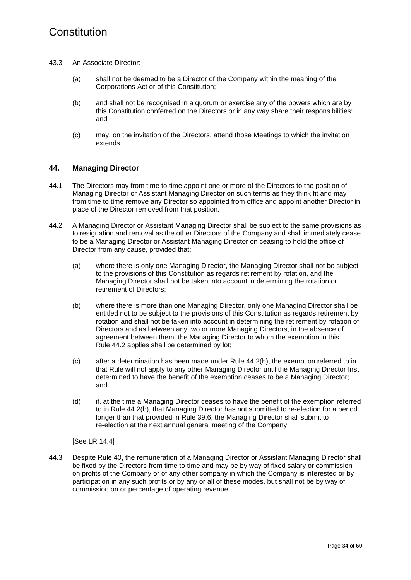- 43.3 An Associate Director:
	- (a) shall not be deemed to be a Director of the Company within the meaning of the Corporations Act or of this Constitution;
	- (b) and shall not be recognised in a quorum or exercise any of the powers which are by this Constitution conferred on the Directors or in any way share their responsibilities; and
	- (c) may, on the invitation of the Directors, attend those Meetings to which the invitation extends.

#### <span id="page-37-0"></span>**44. Managing Director**

- 44.1 The Directors may from time to time appoint one or more of the Directors to the position of Managing Director or Assistant Managing Director on such terms as they think fit and may from time to time remove any Director so appointed from office and appoint another Director in place of the Director removed from that position.
- <span id="page-37-3"></span><span id="page-37-2"></span><span id="page-37-1"></span>44.2 A Managing Director or Assistant Managing Director shall be subject to the same provisions as to resignation and removal as the other Directors of the Company and shall immediately cease to be a Managing Director or Assistant Managing Director on ceasing to hold the office of Director from any cause, provided that:
	- (a) where there is only one Managing Director, the Managing Director shall not be subject to the provisions of this Constitution as regards retirement by rotation, and the Managing Director shall not be taken into account in determining the rotation or retirement of Directors;
	- (b) where there is more than one Managing Director, only one Managing Director shall be entitled not to be subject to the provisions of this Constitution as regards retirement by rotation and shall not be taken into account in determining the retirement by rotation of Directors and as between any two or more Managing Directors, in the absence of agreement between them, the Managing Director to whom the exemption in this Rule [44.2](#page-37-3) applies shall be determined by lot;
	- (c) after a determination has been made under Rule [44.2\(b\),](#page-37-2) the exemption referred to in that Rule will not apply to any other Managing Director until the Managing Director first determined to have the benefit of the exemption ceases to be a Managing Director; and
	- (d) if, at the time a Managing Director ceases to have the benefit of the exemption referred to in Rule [44.2\(b\),](#page-37-2) that Managing Director has not submitted to re-election for a period longer than that provided in Rule [39.6,](#page-33-0) the Managing Director shall submit to re-election at the next annual general meeting of the Company.

[See LR 14.4]

44.3 Despite Rule [40,](#page-34-2) the remuneration of a Managing Director or Assistant Managing Director shall be fixed by the Directors from time to time and may be by way of fixed salary or commission on profits of the Company or of any other company in which the Company is interested or by participation in any such profits or by any or all of these modes, but shall not be by way of commission on or percentage of operating revenue.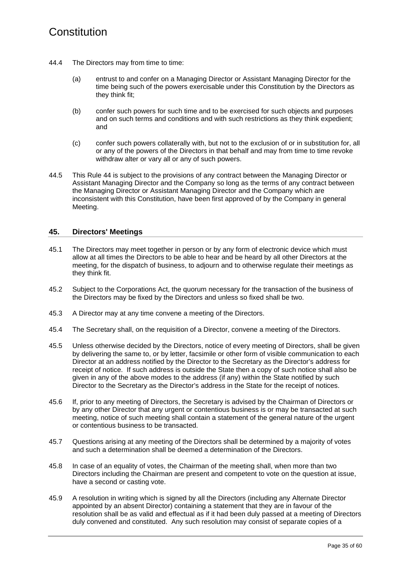- 44.4 The Directors may from time to time:
	- (a) entrust to and confer on a Managing Director or Assistant Managing Director for the time being such of the powers exercisable under this Constitution by the Directors as they think fit;
	- (b) confer such powers for such time and to be exercised for such objects and purposes and on such terms and conditions and with such restrictions as they think expedient; and
	- (c) confer such powers collaterally with, but not to the exclusion of or in substitution for, all or any of the powers of the Directors in that behalf and may from time to time revoke withdraw alter or vary all or any of such powers.
- 44.5 This Rule [44](#page-37-0) is subject to the provisions of any contract between the Managing Director or Assistant Managing Director and the Company so long as the terms of any contract between the Managing Director or Assistant Managing Director and the Company which are inconsistent with this Constitution, have been first approved of by the Company in general Meeting.

#### **45. Directors' Meetings**

- 45.1 The Directors may meet together in person or by any form of electronic device which must allow at all times the Directors to be able to hear and be heard by all other Directors at the meeting, for the dispatch of business, to adjourn and to otherwise regulate their meetings as they think fit.
- <span id="page-38-0"></span>45.2 Subject to the Corporations Act, the quorum necessary for the transaction of the business of the Directors may be fixed by the Directors and unless so fixed shall be two.
- 45.3 A Director may at any time convene a meeting of the Directors.
- 45.4 The Secretary shall, on the requisition of a Director, convene a meeting of the Directors.
- 45.5 Unless otherwise decided by the Directors, notice of every meeting of Directors, shall be given by delivering the same to, or by letter, facsimile or other form of visible communication to each Director at an address notified by the Director to the Secretary as the Director's address for receipt of notice. If such address is outside the State then a copy of such notice shall also be given in any of the above modes to the address (if any) within the State notified by such Director to the Secretary as the Director's address in the State for the receipt of notices.
- 45.6 If, prior to any meeting of Directors, the Secretary is advised by the Chairman of Directors or by any other Director that any urgent or contentious business is or may be transacted at such meeting, notice of such meeting shall contain a statement of the general nature of the urgent or contentious business to be transacted.
- 45.7 Questions arising at any meeting of the Directors shall be determined by a majority of votes and such a determination shall be deemed a determination of the Directors.
- 45.8 In case of an equality of votes, the Chairman of the meeting shall, when more than two Directors including the Chairman are present and competent to vote on the question at issue, have a second or casting vote.
- <span id="page-38-1"></span>45.9 A resolution in writing which is signed by all the Directors (including any Alternate Director appointed by an absent Director) containing a statement that they are in favour of the resolution shall be as valid and effectual as if it had been duly passed at a meeting of Directors duly convened and constituted. Any such resolution may consist of separate copies of a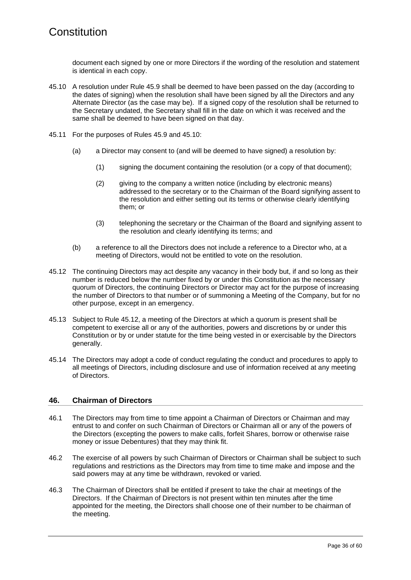document each signed by one or more Directors if the wording of the resolution and statement is identical in each copy.

- <span id="page-39-0"></span>45.10 A resolution under Rule [45.9](#page-38-1) shall be deemed to have been passed on the day (according to the dates of signing) when the resolution shall have been signed by all the Directors and any Alternate Director (as the case may be). If a signed copy of the resolution shall be returned to the Secretary undated, the Secretary shall fill in the date on which it was received and the same shall be deemed to have been signed on that day.
- 45.11 For the purposes of Rules [45.9](#page-38-1) and [45.10:](#page-39-0)
	- (a) a Director may consent to (and will be deemed to have signed) a resolution by:
		- (1) signing the document containing the resolution (or a copy of that document);
		- (2) giving to the company a written notice (including by electronic means) addressed to the secretary or to the Chairman of the Board signifying assent to the resolution and either setting out its terms or otherwise clearly identifying them; or
		- (3) telephoning the secretary or the Chairman of the Board and signifying assent to the resolution and clearly identifying its terms; and
	- (b) a reference to all the Directors does not include a reference to a Director who, at a meeting of Directors, would not be entitled to vote on the resolution.
- <span id="page-39-1"></span>45.12 The continuing Directors may act despite any vacancy in their body but, if and so long as their number is reduced below the number fixed by or under this Constitution as the necessary quorum of Directors, the continuing Directors or Director may act for the purpose of increasing the number of Directors to that number or of summoning a Meeting of the Company, but for no other purpose, except in an emergency.
- 45.13 Subject to Rule [45.12,](#page-39-1) a meeting of the Directors at which a quorum is present shall be competent to exercise all or any of the authorities, powers and discretions by or under this Constitution or by or under statute for the time being vested in or exercisable by the Directors generally.
- 45.14 The Directors may adopt a code of conduct regulating the conduct and procedures to apply to all meetings of Directors, including disclosure and use of information received at any meeting of Directors.

#### **46. Chairman of Directors**

- 46.1 The Directors may from time to time appoint a Chairman of Directors or Chairman and may entrust to and confer on such Chairman of Directors or Chairman all or any of the powers of the Directors (excepting the powers to make calls, forfeit Shares, borrow or otherwise raise money or issue Debentures) that they may think fit.
- 46.2 The exercise of all powers by such Chairman of Directors or Chairman shall be subject to such regulations and restrictions as the Directors may from time to time make and impose and the said powers may at any time be withdrawn, revoked or varied.
- 46.3 The Chairman of Directors shall be entitled if present to take the chair at meetings of the Directors. If the Chairman of Directors is not present within ten minutes after the time appointed for the meeting, the Directors shall choose one of their number to be chairman of the meeting.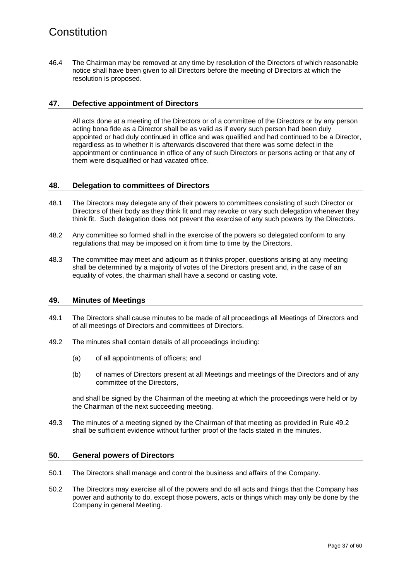46.4 The Chairman may be removed at any time by resolution of the Directors of which reasonable notice shall have been given to all Directors before the meeting of Directors at which the resolution is proposed.

#### **47. Defective appointment of Directors**

All acts done at a meeting of the Directors or of a committee of the Directors or by any person acting bona fide as a Director shall be as valid as if every such person had been duly appointed or had duly continued in office and was qualified and had continued to be a Director, regardless as to whether it is afterwards discovered that there was some defect in the appointment or continuance in office of any of such Directors or persons acting or that any of them were disqualified or had vacated office.

#### **48. Delegation to committees of Directors**

- 48.1 The Directors may delegate any of their powers to committees consisting of such Director or Directors of their body as they think fit and may revoke or vary such delegation whenever they think fit. Such delegation does not prevent the exercise of any such powers by the Directors.
- 48.2 Any committee so formed shall in the exercise of the powers so delegated conform to any regulations that may be imposed on it from time to time by the Directors.
- 48.3 The committee may meet and adjourn as it thinks proper, questions arising at any meeting shall be determined by a majority of votes of the Directors present and, in the case of an equality of votes, the chairman shall have a second or casting vote.

#### **49. Minutes of Meetings**

- 49.1 The Directors shall cause minutes to be made of all proceedings all Meetings of Directors and of all meetings of Directors and committees of Directors.
- <span id="page-40-0"></span>49.2 The minutes shall contain details of all proceedings including:
	- (a) of all appointments of officers; and
	- (b) of names of Directors present at all Meetings and meetings of the Directors and of any committee of the Directors,

and shall be signed by the Chairman of the meeting at which the proceedings were held or by the Chairman of the next succeeding meeting.

49.3 The minutes of a meeting signed by the Chairman of that meeting as provided in Rule [49.2](#page-40-0) shall be sufficient evidence without further proof of the facts stated in the minutes.

#### **50. General powers of Directors**

- 50.1 The Directors shall manage and control the business and affairs of the Company.
- 50.2 The Directors may exercise all of the powers and do all acts and things that the Company has power and authority to do, except those powers, acts or things which may only be done by the Company in general Meeting.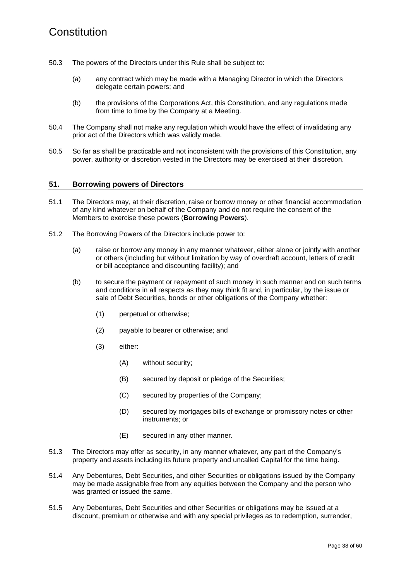- 50.3 The powers of the Directors under this Rule shall be subject to:
	- (a) any contract which may be made with a Managing Director in which the Directors delegate certain powers; and
	- (b) the provisions of the Corporations Act, this Constitution, and any regulations made from time to time by the Company at a Meeting.
- 50.4 The Company shall not make any regulation which would have the effect of invalidating any prior act of the Directors which was validly made.
- 50.5 So far as shall be practicable and not inconsistent with the provisions of this Constitution, any power, authority or discretion vested in the Directors may be exercised at their discretion.

#### **51. Borrowing powers of Directors**

- 51.1 The Directors may, at their discretion, raise or borrow money or other financial accommodation of any kind whatever on behalf of the Company and do not require the consent of the Members to exercise these powers (**Borrowing Powers**).
- 51.2 The Borrowing Powers of the Directors include power to:
	- (a) raise or borrow any money in any manner whatever, either alone or jointly with another or others (including but without limitation by way of overdraft account, letters of credit or bill acceptance and discounting facility); and
	- (b) to secure the payment or repayment of such money in such manner and on such terms and conditions in all respects as they may think fit and, in particular, by the issue or sale of Debt Securities, bonds or other obligations of the Company whether:
		- (1) perpetual or otherwise;
		- (2) payable to bearer or otherwise; and
		- (3) either:
			- (A) without security;
			- (B) secured by deposit or pledge of the Securities;
			- (C) secured by properties of the Company;
			- (D) secured by mortgages bills of exchange or promissory notes or other instruments; or
			- (E) secured in any other manner.
- 51.3 The Directors may offer as security, in any manner whatever, any part of the Company's property and assets including its future property and uncalled Capital for the time being.
- 51.4 Any Debentures, Debt Securities, and other Securities or obligations issued by the Company may be made assignable free from any equities between the Company and the person who was granted or issued the same.
- 51.5 Any Debentures, Debt Securities and other Securities or obligations may be issued at a discount, premium or otherwise and with any special privileges as to redemption, surrender,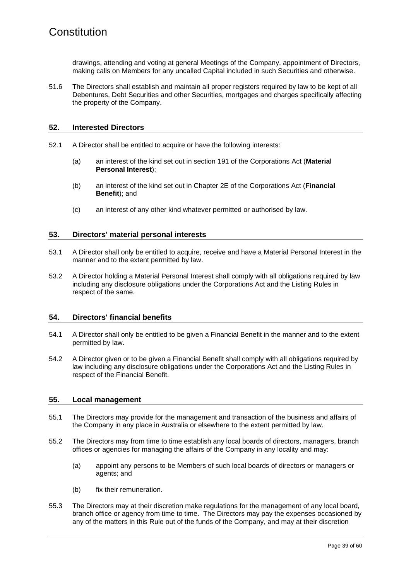drawings, attending and voting at general Meetings of the Company, appointment of Directors, making calls on Members for any uncalled Capital included in such Securities and otherwise.

51.6 The Directors shall establish and maintain all proper registers required by law to be kept of all Debentures, Debt Securities and other Securities, mortgages and charges specifically affecting the property of the Company.

#### **52. Interested Directors**

- 52.1 A Director shall be entitled to acquire or have the following interests:
	- (a) an interest of the kind set out in section 191 of the Corporations Act (**Material Personal Interest**);
	- (b) an interest of the kind set out in Chapter 2E of the Corporations Act (**Financial Benefit**); and
	- (c) an interest of any other kind whatever permitted or authorised by law.

#### **53. Directors' material personal interests**

- 53.1 A Director shall only be entitled to acquire, receive and have a Material Personal Interest in the manner and to the extent permitted by law.
- 53.2 A Director holding a Material Personal Interest shall comply with all obligations required by law including any disclosure obligations under the Corporations Act and the Listing Rules in respect of the same.

#### **54. Directors' financial benefits**

- 54.1 A Director shall only be entitled to be given a Financial Benefit in the manner and to the extent permitted by law.
- 54.2 A Director given or to be given a Financial Benefit shall comply with all obligations required by law including any disclosure obligations under the Corporations Act and the Listing Rules in respect of the Financial Benefit.

#### **55. Local management**

- 55.1 The Directors may provide for the management and transaction of the business and affairs of the Company in any place in Australia or elsewhere to the extent permitted by law.
- <span id="page-42-0"></span>55.2 The Directors may from time to time establish any local boards of directors, managers, branch offices or agencies for managing the affairs of the Company in any locality and may:
	- (a) appoint any persons to be Members of such local boards of directors or managers or agents; and
	- (b) fix their remuneration.
- 55.3 The Directors may at their discretion make regulations for the management of any local board, branch office or agency from time to time. The Directors may pay the expenses occasioned by any of the matters in this Rule out of the funds of the Company, and may at their discretion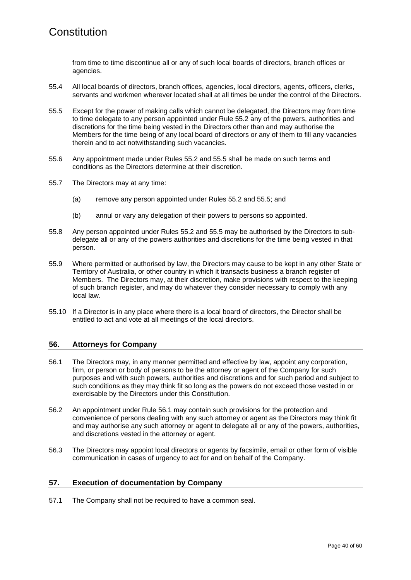from time to time discontinue all or any of such local boards of directors, branch offices or agencies.

- 55.4 All local boards of directors, branch offices, agencies, local directors, agents, officers, clerks, servants and workmen wherever located shall at all times be under the control of the Directors.
- <span id="page-43-0"></span>55.5 Except for the power of making calls which cannot be delegated, the Directors may from time to time delegate to any person appointed under Rule [55.2](#page-42-0) any of the powers, authorities and discretions for the time being vested in the Directors other than and may authorise the Members for the time being of any local board of directors or any of them to fill any vacancies therein and to act notwithstanding such vacancies.
- 55.6 Any appointment made under Rules [55.2](#page-42-0) and [55.5 s](#page-43-0)hall be made on such terms and conditions as the Directors determine at their discretion.
- 55.7 The Directors may at any time:
	- (a) remove any person appointed under Rules [55.2](#page-42-0) and [55.5;](#page-43-0) and
	- (b) annul or vary any delegation of their powers to persons so appointed.
- 55.8 Any person appointed under Rules [55.2](#page-42-0) and [55.5](#page-43-0) may be authorised by the Directors to subdelegate all or any of the powers authorities and discretions for the time being vested in that person.
- 55.9 Where permitted or authorised by law, the Directors may cause to be kept in any other State or Territory of Australia, or other country in which it transacts business a branch register of Members. The Directors may, at their discretion, make provisions with respect to the keeping of such branch register, and may do whatever they consider necessary to comply with any local law.
- 55.10 If a Director is in any place where there is a local board of directors, the Director shall be entitled to act and vote at all meetings of the local directors.

#### **56. Attorneys for Company**

- <span id="page-43-1"></span>56.1 The Directors may, in any manner permitted and effective by law, appoint any corporation, firm, or person or body of persons to be the attorney or agent of the Company for such purposes and with such powers, authorities and discretions and for such period and subject to such conditions as they may think fit so long as the powers do not exceed those vested in or exercisable by the Directors under this Constitution.
- 56.2 An appointment under Rule [56.1](#page-43-1) may contain such provisions for the protection and convenience of persons dealing with any such attorney or agent as the Directors may think fit and may authorise any such attorney or agent to delegate all or any of the powers, authorities, and discretions vested in the attorney or agent.
- 56.3 The Directors may appoint local directors or agents by facsimile, email or other form of visible communication in cases of urgency to act for and on behalf of the Company.

#### **57. Execution of documentation by Company**

57.1 The Company shall not be required to have a common seal.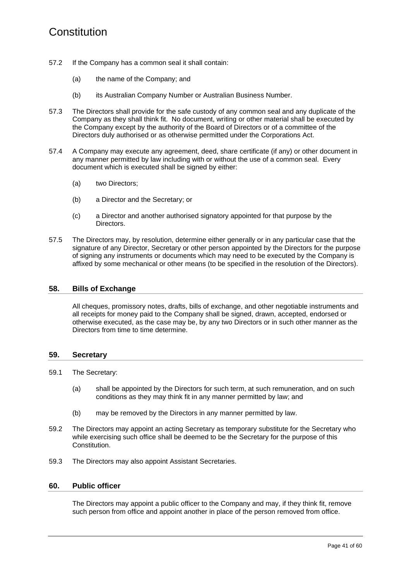- 57.2 If the Company has a common seal it shall contain:
	- (a) the name of the Company; and
	- (b) its Australian Company Number or Australian Business Number.
- 57.3 The Directors shall provide for the safe custody of any common seal and any duplicate of the Company as they shall think fit. No document, writing or other material shall be executed by the Company except by the authority of the Board of Directors or of a committee of the Directors duly authorised or as otherwise permitted under the Corporations Act.
- 57.4 A Company may execute any agreement, deed, share certificate (if any) or other document in any manner permitted by law including with or without the use of a common seal. Every document which is executed shall be signed by either:
	- (a) two Directors:
	- (b) a Director and the Secretary; or
	- (c) a Director and another authorised signatory appointed for that purpose by the Directors.
- 57.5 The Directors may, by resolution, determine either generally or in any particular case that the signature of any Director, Secretary or other person appointed by the Directors for the purpose of signing any instruments or documents which may need to be executed by the Company is affixed by some mechanical or other means (to be specified in the resolution of the Directors).

#### **58. Bills of Exchange**

All cheques, promissory notes, drafts, bills of exchange, and other negotiable instruments and all receipts for money paid to the Company shall be signed, drawn, accepted, endorsed or otherwise executed, as the case may be, by any two Directors or in such other manner as the Directors from time to time determine.

#### **59. Secretary**

- 59.1 The Secretary:
	- (a) shall be appointed by the Directors for such term, at such remuneration, and on such conditions as they may think fit in any manner permitted by law; and
	- (b) may be removed by the Directors in any manner permitted by law.
- 59.2 The Directors may appoint an acting Secretary as temporary substitute for the Secretary who while exercising such office shall be deemed to be the Secretary for the purpose of this Constitution.
- 59.3 The Directors may also appoint Assistant Secretaries.

#### **60. Public officer**

The Directors may appoint a public officer to the Company and may, if they think fit, remove such person from office and appoint another in place of the person removed from office.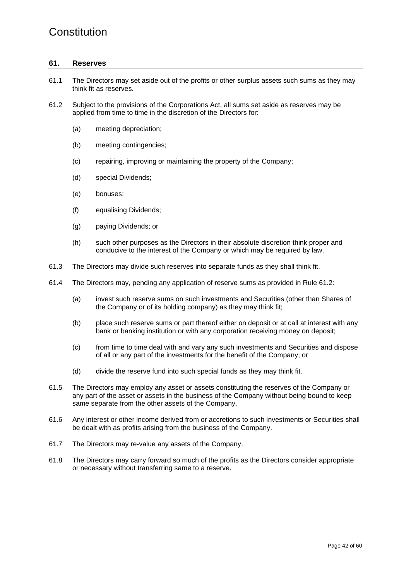#### <span id="page-45-1"></span>**61. Reserves**

- 61.1 The Directors may set aside out of the profits or other surplus assets such sums as they may think fit as reserves.
- <span id="page-45-0"></span>61.2 Subject to the provisions of the Corporations Act, all sums set aside as reserves may be applied from time to time in the discretion of the Directors for:
	- (a) meeting depreciation;
	- (b) meeting contingencies;
	- (c) repairing, improving or maintaining the property of the Company;
	- (d) special Dividends;
	- (e) bonuses;
	- (f) equalising Dividends;
	- (g) paying Dividends; or
	- (h) such other purposes as the Directors in their absolute discretion think proper and conducive to the interest of the Company or which may be required by law.
- 61.3 The Directors may divide such reserves into separate funds as they shall think fit.
- 61.4 The Directors may, pending any application of reserve sums as provided in Rule [61.2:](#page-45-0)
	- (a) invest such reserve sums on such investments and Securities (other than Shares of the Company or of its holding company) as they may think fit;
	- (b) place such reserve sums or part thereof either on deposit or at call at interest with any bank or banking institution or with any corporation receiving money on deposit;
	- (c) from time to time deal with and vary any such investments and Securities and dispose of all or any part of the investments for the benefit of the Company; or
	- (d) divide the reserve fund into such special funds as they may think fit.
- 61.5 The Directors may employ any asset or assets constituting the reserves of the Company or any part of the asset or assets in the business of the Company without being bound to keep same separate from the other assets of the Company.
- 61.6 Any interest or other income derived from or accretions to such investments or Securities shall be dealt with as profits arising from the business of the Company.
- 61.7 The Directors may re-value any assets of the Company.
- 61.8 The Directors may carry forward so much of the profits as the Directors consider appropriate or necessary without transferring same to a reserve.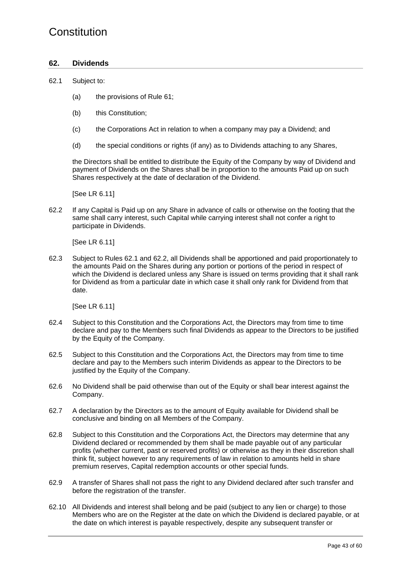#### **62. Dividends**

#### <span id="page-46-0"></span>62.1 Subject to:

- (a) the provisions of Rule [61;](#page-45-1)
- (b) this Constitution:
- (c) the Corporations Act in relation to when a company may pay a Dividend; and
- (d) the special conditions or rights (if any) as to Dividends attaching to any Shares,

the Directors shall be entitled to distribute the Equity of the Company by way of Dividend and payment of Dividends on the Shares shall be in proportion to the amounts Paid up on such Shares respectively at the date of declaration of the Dividend.

[See LR 6.11]

<span id="page-46-1"></span>62.2 If any Capital is Paid up on any Share in advance of calls or otherwise on the footing that the same shall carry interest, such Capital while carrying interest shall not confer a right to participate in Dividends.

[See LR 6.11]

62.3 Subject to Rules [62.1](#page-46-0) and [62.2,](#page-46-1) all Dividends shall be apportioned and paid proportionately to the amounts Paid on the Shares during any portion or portions of the period in respect of which the Dividend is declared unless any Share is issued on terms providing that it shall rank for Dividend as from a particular date in which case it shall only rank for Dividend from that date.

[See LR 6.11]

- 62.4 Subject to this Constitution and the Corporations Act, the Directors may from time to time declare and pay to the Members such final Dividends as appear to the Directors to be justified by the Equity of the Company.
- 62.5 Subject to this Constitution and the Corporations Act, the Directors may from time to time declare and pay to the Members such interim Dividends as appear to the Directors to be justified by the Equity of the Company.
- 62.6 No Dividend shall be paid otherwise than out of the Equity or shall bear interest against the Company.
- 62.7 A declaration by the Directors as to the amount of Equity available for Dividend shall be conclusive and binding on all Members of the Company.
- 62.8 Subject to this Constitution and the Corporations Act, the Directors may determine that any Dividend declared or recommended by them shall be made payable out of any particular profits (whether current, past or reserved profits) or otherwise as they in their discretion shall think fit, subject however to any requirements of law in relation to amounts held in share premium reserves, Capital redemption accounts or other special funds.
- 62.9 A transfer of Shares shall not pass the right to any Dividend declared after such transfer and before the registration of the transfer.
- 62.10 All Dividends and interest shall belong and be paid (subject to any lien or charge) to those Members who are on the Register at the date on which the Dividend is declared payable, or at the date on which interest is payable respectively, despite any subsequent transfer or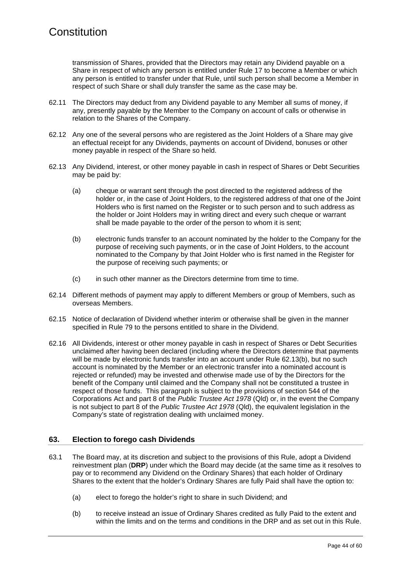transmission of Shares, provided that the Directors may retain any Dividend payable on a Share in respect of which any person is entitled under Rule [17](#page-19-4) to become a Member or which any person is entitled to transfer under that Rule, until such person shall become a Member in respect of such Share or shall duly transfer the same as the case may be.

- 62.11 The Directors may deduct from any Dividend payable to any Member all sums of money, if any, presently payable by the Member to the Company on account of calls or otherwise in relation to the Shares of the Company.
- 62.12 Any one of the several persons who are registered as the Joint Holders of a Share may give an effectual receipt for any Dividends, payments on account of Dividend, bonuses or other money payable in respect of the Share so held.
- 62.13 Any Dividend, interest, or other money payable in cash in respect of Shares or Debt Securities may be paid by:
	- (a) cheque or warrant sent through the post directed to the registered address of the holder or, in the case of Joint Holders, to the registered address of that one of the Joint Holders who is first named on the Register or to such person and to such address as the holder or Joint Holders may in writing direct and every such cheque or warrant shall be made payable to the order of the person to whom it is sent;
	- (b) electronic funds transfer to an account nominated by the holder to the Company for the purpose of receiving such payments, or in the case of Joint Holders, to the account nominated to the Company by that Joint Holder who is first named in the Register for the purpose of receiving such payments; or
	- (c) in such other manner as the Directors determine from time to time.
- <span id="page-47-0"></span>62.14 Different methods of payment may apply to different Members or group of Members, such as overseas Members.
- 62.15 Notice of declaration of Dividend whether interim or otherwise shall be given in the manner specified in Rule [79](#page-58-0) to the persons entitled to share in the Dividend.
- 62.16 All Dividends, interest or other money payable in cash in respect of Shares or Debt Securities unclaimed after having been declared (including where the Directors determine that payments will be made by electronic funds transfer into an account under Rule [62.13\(b\),](#page-47-0) but no such account is nominated by the Member or an electronic transfer into a nominated account is rejected or refunded) may be invested and otherwise made use of by the Directors for the benefit of the Company until claimed and the Company shall not be constituted a trustee in respect of those funds. This paragraph is subject to the provisions of section 544 of the Corporations Act and part 8 of the *Public Trustee Act 1978* (Qld) or, in the event the Company is not subject to part 8 of the *Public Trustee Act 1978* (Qld), the equivalent legislation in the Company's state of registration dealing with unclaimed money.

#### **63. Election to forego cash Dividends**

- <span id="page-47-1"></span>63.1 The Board may, at its discretion and subject to the provisions of this Rule, adopt a Dividend reinvestment plan (**DRP**) under which the Board may decide (at the same time as it resolves to pay or to recommend any Dividend on the Ordinary Shares) that each holder of Ordinary Shares to the extent that the holder's Ordinary Shares are fully Paid shall have the option to:
	- (a) elect to forego the holder's right to share in such Dividend; and
	- (b) to receive instead an issue of Ordinary Shares credited as fully Paid to the extent and within the limits and on the terms and conditions in the DRP and as set out in this Rule.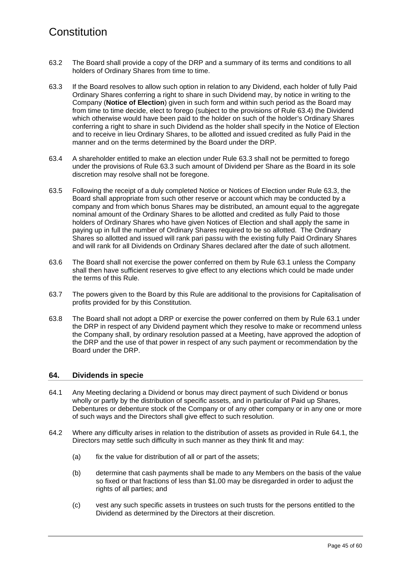- 63.2 The Board shall provide a copy of the DRP and a summary of its terms and conditions to all holders of Ordinary Shares from time to time.
- <span id="page-48-1"></span>63.3 If the Board resolves to allow such option in relation to any Dividend, each holder of fully Paid Ordinary Shares conferring a right to share in such Dividend may, by notice in writing to the Company (**Notice of Election**) given in such form and within such period as the Board may from time to time decide, elect to forego (subject to the provisions of Rule [63.4\)](#page-48-0) the Dividend which otherwise would have been paid to the holder on such of the holder's Ordinary Shares conferring a right to share in such Dividend as the holder shall specify in the Notice of Election and to receive in lieu Ordinary Shares, to be allotted and issued credited as fully Paid in the manner and on the terms determined by the Board under the DRP.
- <span id="page-48-0"></span>63.4 A shareholder entitled to make an election under Rule [63.3](#page-48-1) shall not be permitted to forego under the provisions of Rule [63.3](#page-48-1) such amount of Dividend per Share as the Board in its sole discretion may resolve shall not be foregone.
- 63.5 Following the receipt of a duly completed Notice or Notices of Election under Rule [63.3,](#page-48-1) the Board shall appropriate from such other reserve or account which may be conducted by a company and from which bonus Shares may be distributed, an amount equal to the aggregate nominal amount of the Ordinary Shares to be allotted and credited as fully Paid to those holders of Ordinary Shares who have given Notices of Election and shall apply the same in paying up in full the number of Ordinary Shares required to be so allotted. The Ordinary Shares so allotted and issued will rank pari passu with the existing fully Paid Ordinary Shares and will rank for all Dividends on Ordinary Shares declared after the date of such allotment.
- 63.6 The Board shall not exercise the power conferred on them by Rule [63.1](#page-47-1) unless the Company shall then have sufficient reserves to give effect to any elections which could be made under the terms of this Rule.
- 63.7 The powers given to the Board by this Rule are additional to the provisions for Capitalisation of profits provided for by this Constitution.
- 63.8 The Board shall not adopt a DRP or exercise the power conferred on them by Rule [63.1](#page-47-1) under the DRP in respect of any Dividend payment which they resolve to make or recommend unless the Company shall, by ordinary resolution passed at a Meeting, have approved the adoption of the DRP and the use of that power in respect of any such payment or recommendation by the Board under the DRP.

#### **64. Dividends in specie**

- <span id="page-48-2"></span>64.1 Any Meeting declaring a Dividend or bonus may direct payment of such Dividend or bonus wholly or partly by the distribution of specific assets, and in particular of Paid up Shares, Debentures or debenture stock of the Company or of any other company or in any one or more of such ways and the Directors shall give effect to such resolution.
- 64.2 Where any difficulty arises in relation to the distribution of assets as provided in Rule [64.1,](#page-48-2) the Directors may settle such difficulty in such manner as they think fit and may:
	- (a) fix the value for distribution of all or part of the assets;
	- (b) determine that cash payments shall be made to any Members on the basis of the value so fixed or that fractions of less than \$1.00 may be disregarded in order to adjust the rights of all parties; and
	- (c) vest any such specific assets in trustees on such trusts for the persons entitled to the Dividend as determined by the Directors at their discretion.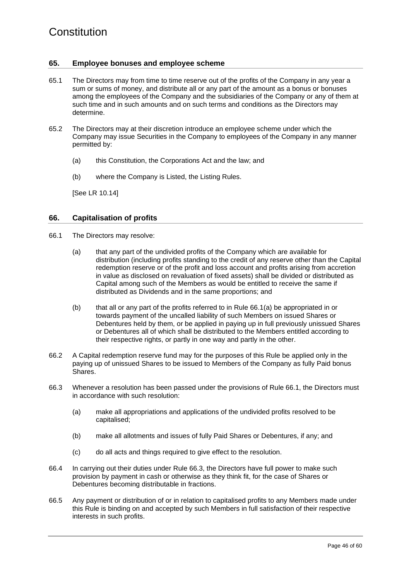#### **65. Employee bonuses and employee scheme**

- 65.1 The Directors may from time to time reserve out of the profits of the Company in any year a sum or sums of money, and distribute all or any part of the amount as a bonus or bonuses among the employees of the Company and the subsidiaries of the Company or any of them at such time and in such amounts and on such terms and conditions as the Directors may determine.
- 65.2 The Directors may at their discretion introduce an employee scheme under which the Company may issue Securities in the Company to employees of the Company in any manner permitted by:
	- (a) this Constitution, the Corporations Act and the law; and
	- (b) where the Company is Listed, the Listing Rules.

[See LR 10.14]

#### **66. Capitalisation of profits**

- <span id="page-49-1"></span><span id="page-49-0"></span>66.1 The Directors may resolve:
	- (a) that any part of the undivided profits of the Company which are available for distribution (including profits standing to the credit of any reserve other than the Capital redemption reserve or of the profit and loss account and profits arising from accretion in value as disclosed on revaluation of fixed assets) shall be divided or distributed as Capital among such of the Members as would be entitled to receive the same if distributed as Dividends and in the same proportions; and
	- (b) that all or any part of the profits referred to in Rule [66.1\(a\)](#page-49-0) be appropriated in or towards payment of the uncalled liability of such Members on issued Shares or Debentures held by them, or be applied in paying up in full previously unissued Shares or Debentures all of which shall be distributed to the Members entitled according to their respective rights, or partly in one way and partly in the other.
- 66.2 A Capital redemption reserve fund may for the purposes of this Rule be applied only in the paying up of unissued Shares to be issued to Members of the Company as fully Paid bonus Shares.
- <span id="page-49-2"></span>66.3 Whenever a resolution has been passed under the provisions of Rule [66.1,](#page-49-1) the Directors must in accordance with such resolution:
	- (a) make all appropriations and applications of the undivided profits resolved to be capitalised;
	- (b) make all allotments and issues of fully Paid Shares or Debentures, if any; and
	- (c) do all acts and things required to give effect to the resolution.
- 66.4 In carrying out their duties under Rule [66.3,](#page-49-2) the Directors have full power to make such provision by payment in cash or otherwise as they think fit, for the case of Shares or Debentures becoming distributable in fractions.
- 66.5 Any payment or distribution of or in relation to capitalised profits to any Members made under this Rule is binding on and accepted by such Members in full satisfaction of their respective interests in such profits.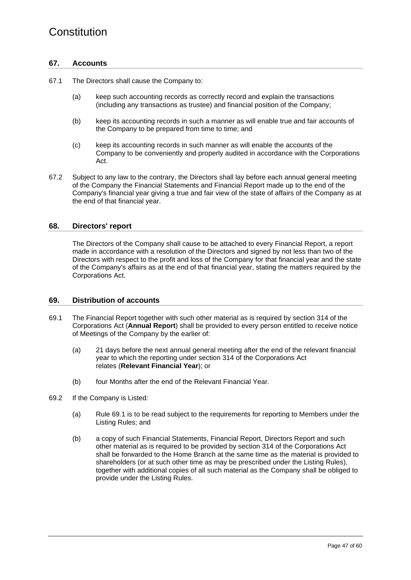#### **67. Accounts**

- 67.1 The Directors shall cause the Company to:
	- (a) keep such accounting records as correctly record and explain the transactions (including any transactions as trustee) and financial position of the Company;
	- (b) keep its accounting records in such a manner as will enable true and fair accounts of the Company to be prepared from time to time; and
	- (c) keep its accounting records in such manner as will enable the accounts of the Company to be conveniently and properly audited in accordance with the Corporations Act.
- 67.2 Subject to any law to the contrary, the Directors shall lay before each annual general meeting of the Company the Financial Statements and Financial Report made up to the end of the Company's financial year giving a true and fair view of the state of affairs of the Company as at the end of that financial year.

#### **68. Directors' report**

The Directors of the Company shall cause to be attached to every Financial Report, a report made in accordance with a resolution of the Directors and signed by not less than two of the Directors with respect to the profit and loss of the Company for that financial year and the state of the Company's affairs as at the end of that financial year, stating the matters required by the Corporations Act.

#### **69. Distribution of accounts**

- <span id="page-50-0"></span>69.1 The Financial Report together with such other material as is required by section 314 of the Corporations Act (**Annual Report**) shall be provided to every person entitled to receive notice of Meetings of the Company by the earlier of:
	- (a) 21 days before the next annual general meeting after the end of the relevant financial year to which the reporting under section 314 of the Corporations Act relates (**Relevant Financial Year**); or
	- (b) four Months after the end of the Relevant Financial Year.
- 69.2 If the Company is Listed:
	- (a) Rule [69.1](#page-50-0) is to be read subject to the requirements for reporting to Members under the Listing Rules; and
	- (b) a copy of such Financial Statements, Financial Report, Directors Report and such other material as is required to be provided by section 314 of the Corporations Act shall be forwarded to the Home Branch at the same time as the material is provided to shareholders (or at such other time as may be prescribed under the Listing Rules), together with additional copies of all such material as the Company shall be obliged to provide under the Listing Rules.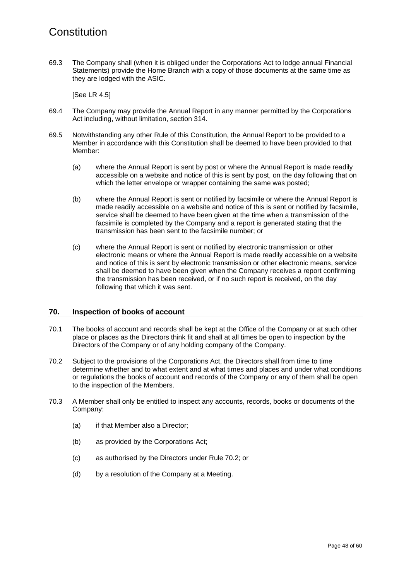69.3 The Company shall (when it is obliged under the Corporations Act to lodge annual Financial Statements) provide the Home Branch with a copy of those documents at the same time as they are lodged with the ASIC.

[See LR 4.5]

- 69.4 The Company may provide the Annual Report in any manner permitted by the Corporations Act including, without limitation, section 314.
- 69.5 Notwithstanding any other Rule of this Constitution, the Annual Report to be provided to a Member in accordance with this Constitution shall be deemed to have been provided to that Member:
	- (a) where the Annual Report is sent by post or where the Annual Report is made readily accessible on a website and notice of this is sent by post, on the day following that on which the letter envelope or wrapper containing the same was posted;
	- (b) where the Annual Report is sent or notified by facsimile or where the Annual Report is made readily accessible on a website and notice of this is sent or notified by facsimile, service shall be deemed to have been given at the time when a transmission of the facsimile is completed by the Company and a report is generated stating that the transmission has been sent to the facsimile number; or
	- (c) where the Annual Report is sent or notified by electronic transmission or other electronic means or where the Annual Report is made readily accessible on a website and notice of this is sent by electronic transmission or other electronic means, service shall be deemed to have been given when the Company receives a report confirming the transmission has been received, or if no such report is received, on the day following that which it was sent.

#### **70. Inspection of books of account**

- 70.1 The books of account and records shall be kept at the Office of the Company or at such other place or places as the Directors think fit and shall at all times be open to inspection by the Directors of the Company or of any holding company of the Company.
- <span id="page-51-0"></span>70.2 Subject to the provisions of the Corporations Act, the Directors shall from time to time determine whether and to what extent and at what times and places and under what conditions or regulations the books of account and records of the Company or any of them shall be open to the inspection of the Members.
- 70.3 A Member shall only be entitled to inspect any accounts, records, books or documents of the Company:
	- (a) if that Member also a Director;
	- (b) as provided by the Corporations Act;
	- (c) as authorised by the Directors under Rule [70.2;](#page-51-0) or
	- (d) by a resolution of the Company at a Meeting.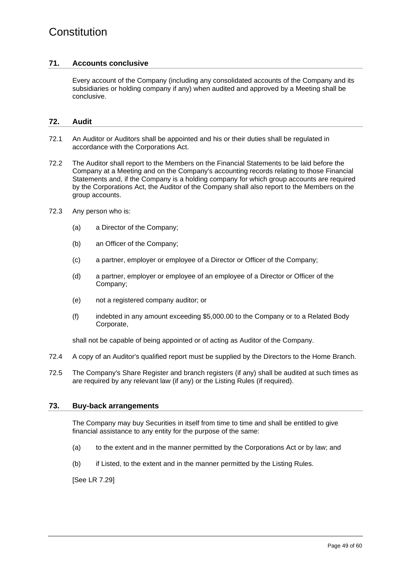#### **71. Accounts conclusive**

Every account of the Company (including any consolidated accounts of the Company and its subsidiaries or holding company if any) when audited and approved by a Meeting shall be conclusive.

#### **72. Audit**

- 72.1 An Auditor or Auditors shall be appointed and his or their duties shall be regulated in accordance with the Corporations Act.
- 72.2 The Auditor shall report to the Members on the Financial Statements to be laid before the Company at a Meeting and on the Company's accounting records relating to those Financial Statements and, if the Company is a holding company for which group accounts are required by the Corporations Act, the Auditor of the Company shall also report to the Members on the group accounts.
- 72.3 Any person who is:
	- (a) a Director of the Company;
	- (b) an Officer of the Company;
	- (c) a partner, employer or employee of a Director or Officer of the Company;
	- (d) a partner, employer or employee of an employee of a Director or Officer of the Company;
	- (e) not a registered company auditor; or
	- (f) indebted in any amount exceeding \$5,000.00 to the Company or to a Related Body Corporate,

shall not be capable of being appointed or of acting as Auditor of the Company.

- 72.4 A copy of an Auditor's qualified report must be supplied by the Directors to the Home Branch.
- 72.5 The Company's Share Register and branch registers (if any) shall be audited at such times as are required by any relevant law (if any) or the Listing Rules (if required).

#### **73. Buy-back arrangements**

The Company may buy Securities in itself from time to time and shall be entitled to give financial assistance to any entity for the purpose of the same:

- (a) to the extent and in the manner permitted by the Corporations Act or by law; and
- (b) if Listed, to the extent and in the manner permitted by the Listing Rules.

[See LR 7.29]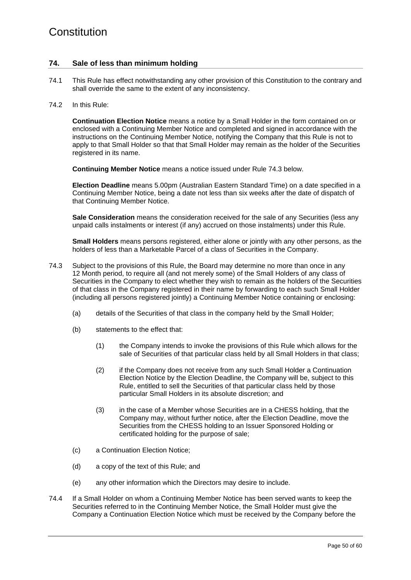#### **74. Sale of less than minimum holding**

- 74.1 This Rule has effect notwithstanding any other provision of this Constitution to the contrary and shall override the same to the extent of any inconsistency.
- 74.2 In this Rule:

**Continuation Election Notice** means a notice by a Small Holder in the form contained on or enclosed with a Continuing Member Notice and completed and signed in accordance with the instructions on the Continuing Member Notice, notifying the Company that this Rule is not to apply to that Small Holder so that that Small Holder may remain as the holder of the Securities registered in its name.

**Continuing Member Notice** means a notice issued under Rule [74.3](#page-53-0) below.

**Election Deadline** means 5.00pm (Australian Eastern Standard Time) on a date specified in a Continuing Member Notice, being a date not less than six weeks after the date of dispatch of that Continuing Member Notice.

**Sale Consideration** means the consideration received for the sale of any Securities (less any unpaid calls instalments or interest (if any) accrued on those instalments) under this Rule.

**Small Holders** means persons registered, either alone or jointly with any other persons, as the holders of less than a Marketable Parcel of a class of Securities in the Company.

- <span id="page-53-0"></span>74.3 Subject to the provisions of this Rule, the Board may determine no more than once in any 12 Month period, to require all (and not merely some) of the Small Holders of any class of Securities in the Company to elect whether they wish to remain as the holders of the Securities of that class in the Company registered in their name by forwarding to each such Small Holder (including all persons registered jointly) a Continuing Member Notice containing or enclosing:
	- (a) details of the Securities of that class in the company held by the Small Holder;
	- (b) statements to the effect that:
		- (1) the Company intends to invoke the provisions of this Rule which allows for the sale of Securities of that particular class held by all Small Holders in that class;
		- (2) if the Company does not receive from any such Small Holder a Continuation Election Notice by the Election Deadline, the Company will be, subject to this Rule, entitled to sell the Securities of that particular class held by those particular Small Holders in its absolute discretion; and
		- (3) in the case of a Member whose Securities are in a CHESS holding, that the Company may, without further notice, after the Election Deadline, move the Securities from the CHESS holding to an Issuer Sponsored Holding or certificated holding for the purpose of sale;
	- (c) a Continuation Election Notice;
	- (d) a copy of the text of this Rule; and
	- (e) any other information which the Directors may desire to include.
- 74.4 If a Small Holder on whom a Continuing Member Notice has been served wants to keep the Securities referred to in the Continuing Member Notice, the Small Holder must give the Company a Continuation Election Notice which must be received by the Company before the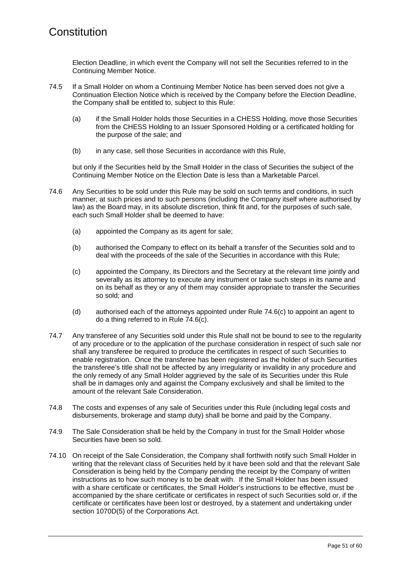Election Deadline, in which event the Company will not sell the Securities referred to in the Continuing Member Notice.

- 74.5 If a Small Holder on whom a Continuing Member Notice has been served does not give a Continuation Election Notice which is received by the Company before the Election Deadline, the Company shall be entitled to, subject to this Rule:
	- (a) if the Small Holder holds those Securities in a CHESS Holding, move those Securities from the CHESS Holding to an Issuer Sponsored Holding or a certificated holding for the purpose of the sale; and
	- (b) in any case, sell those Securities in accordance with this Rule,

but only if the Securities held by the Small Holder in the class of Securities the subject of the Continuing Member Notice on the Election Date is less than a Marketable Parcel.

- 74.6 Any Securities to be sold under this Rule may be sold on such terms and conditions, in such manner, at such prices and to such persons (including the Company itself where authorised by law) as the Board may, in its absolute discretion, think fit and, for the purposes of such sale, each such Small Holder shall be deemed to have:
	- (a) appointed the Company as its agent for sale;
	- (b) authorised the Company to effect on its behalf a transfer of the Securities sold and to deal with the proceeds of the sale of the Securities in accordance with this Rule;
	- (c) appointed the Company, its Directors and the Secretary at the relevant time jointly and severally as its attorney to execute any instrument or take such steps in its name and on its behalf as they or any of them may consider appropriate to transfer the Securities so sold; and
	- (d) authorised each of the attorneys appointed under Rule [74.6\(c\)](#page-54-0) to appoint an agent to do a thing referred to in Rule [74.6\(c\).](#page-54-0)
- <span id="page-54-0"></span>74.7 Any transferee of any Securities sold under this Rule shall not be bound to see to the regularity of any procedure or to the application of the purchase consideration in respect of such sale nor shall any transferee be required to produce the certificates in respect of such Securities to enable registration. Once the transferee has been registered as the holder of such Securities the transferee's title shall not be affected by any irregularity or invalidity in any procedure and the only remedy of any Small Holder aggrieved by the sale of its Securities under this Rule shall be in damages only and against the Company exclusively and shall be limited to the amount of the relevant Sale Consideration.
- 74.8 The costs and expenses of any sale of Securities under this Rule (including legal costs and disbursements, brokerage and stamp duty) shall be borne and paid by the Company.
- 74.9 The Sale Consideration shall be held by the Company in trust for the Small Holder whose Securities have been so sold.
- 74.10 On receipt of the Sale Consideration, the Company shall forthwith notify such Small Holder in writing that the relevant class of Securities held by it have been sold and that the relevant Sale Consideration is being held by the Company pending the receipt by the Company of written instructions as to how such money is to be dealt with. If the Small Holder has been issued with a share certificate or certificates, the Small Holder's instructions to be effective, must be accompanied by the share certificate or certificates in respect of such Securities sold or, if the certificate or certificates have been lost or destroyed, by a statement and undertaking under section 1070D(5) of the Corporations Act.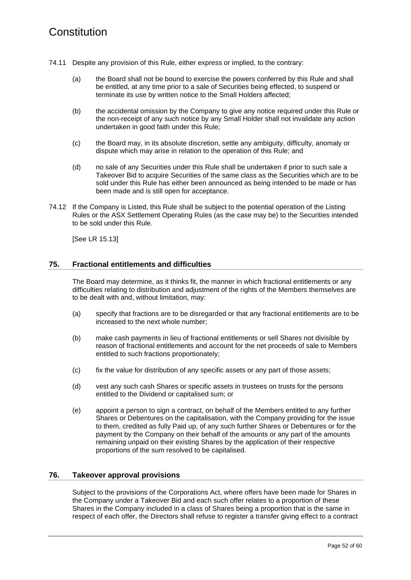- 74.11 Despite any provision of this Rule, either express or implied, to the contrary:
	- (a) the Board shall not be bound to exercise the powers conferred by this Rule and shall be entitled, at any time prior to a sale of Securities being effected, to suspend or terminate its use by written notice to the Small Holders affected;
	- (b) the accidental omission by the Company to give any notice required under this Rule or the non-receipt of any such notice by any Small Holder shall not invalidate any action undertaken in good faith under this Rule;
	- (c) the Board may, in its absolute discretion, settle any ambiguity, difficulty, anomaly or dispute which may arise in relation to the operation of this Rule; and
	- (d) no sale of any Securities under this Rule shall be undertaken if prior to such sale a Takeover Bid to acquire Securities of the same class as the Securities which are to be sold under this Rule has either been announced as being intended to be made or has been made and is still open for acceptance.
- 74.12 If the Company is Listed, this Rule shall be subject to the potential operation of the Listing Rules or the ASX Settlement Operating Rules (as the case may be) to the Securities intended to be sold under this Rule.

[See LR 15.13]

#### **75. Fractional entitlements and difficulties**

The Board may determine, as it thinks fit, the manner in which fractional entitlements or any difficulties relating to distribution and adjustment of the rights of the Members themselves are to be dealt with and, without limitation, may:

- (a) specify that fractions are to be disregarded or that any fractional entitlements are to be increased to the next whole number;
- (b) make cash payments in lieu of fractional entitlements or sell Shares not divisible by reason of fractional entitlements and account for the net proceeds of sale to Members entitled to such fractions proportionately;
- (c) fix the value for distribution of any specific assets or any part of those assets;
- (d) vest any such cash Shares or specific assets in trustees on trusts for the persons entitled to the Dividend or capitalised sum; or
- (e) appoint a person to sign a contract, on behalf of the Members entitled to any further Shares or Debentures on the capitalisation, with the Company providing for the issue to them, credited as fully Paid up, of any such further Shares or Debentures or for the payment by the Company on their behalf of the amounts or any part of the amounts remaining unpaid on their existing Shares by the application of their respective proportions of the sum resolved to be capitalised.

#### **76. Takeover approval provisions**

Subject to the provisions of the Corporations Act, where offers have been made for Shares in the Company under a Takeover Bid and each such offer relates to a proportion of these Shares in the Company included in a class of Shares being a proportion that is the same in respect of each offer, the Directors shall refuse to register a transfer giving effect to a contract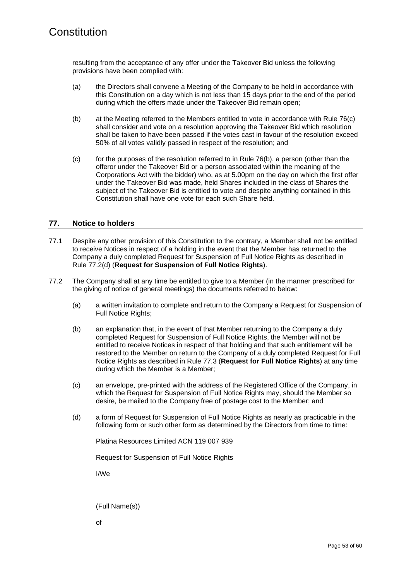resulting from the acceptance of any offer under the Takeover Bid unless the following provisions have been complied with:

- (a) the Directors shall convene a Meeting of the Company to be held in accordance with this Constitution on a day which is not less than 15 days prior to the end of the period during which the offers made under the Takeover Bid remain open;
- <span id="page-56-1"></span>(b) at the Meeting referred to the Members entitled to vote in accordance with Rule [76\(c\)](#page-56-0) shall consider and vote on a resolution approving the Takeover Bid which resolution shall be taken to have been passed if the votes cast in favour of the resolution exceed 50% of all votes validly passed in respect of the resolution; and
- <span id="page-56-0"></span>(c) for the purposes of the resolution referred to in Rule [76\(b\),](#page-56-1) a person (other than the offeror under the Takeover Bid or a person associated within the meaning of the Corporations Act with the bidder) who, as at 5.00pm on the day on which the first offer under the Takeover Bid was made, held Shares included in the class of Shares the subject of the Takeover Bid is entitled to vote and despite anything contained in this Constitution shall have one vote for each such Share held.

#### **77. Notice to holders**

- 77.1 Despite any other provision of this Constitution to the contrary, a Member shall not be entitled to receive Notices in respect of a holding in the event that the Member has returned to the Company a duly completed Request for Suspension of Full Notice Rights as described in Rule [77.2\(d\)](#page-56-2) (**Request for Suspension of Full Notice Rights**).
- <span id="page-56-3"></span>77.2 The Company shall at any time be entitled to give to a Member (in the manner prescribed for the giving of notice of general meetings) the documents referred to below:
	- (a) a written invitation to complete and return to the Company a Request for Suspension of Full Notice Rights;
	- (b) an explanation that, in the event of that Member returning to the Company a duly completed Request for Suspension of Full Notice Rights, the Member will not be entitled to receive Notices in respect of that holding and that such entitlement will be restored to the Member on return to the Company of a duly completed Request for Full Notice Rights as described in Rule [77.3](#page-57-0) (**Request for Full Notice Rights**) at any time during which the Member is a Member;
	- (c) an envelope, pre-printed with the address of the Registered Office of the Company, in which the Request for Suspension of Full Notice Rights may, should the Member so desire, be mailed to the Company free of postage cost to the Member; and
	- (d) a form of Request for Suspension of Full Notice Rights as nearly as practicable in the following form or such other form as determined by the Directors from time to time:

<span id="page-56-2"></span>Platina Resources Limited ACN 119 007 939

Request for Suspension of Full Notice Rights

I/We

(Full Name(s))

of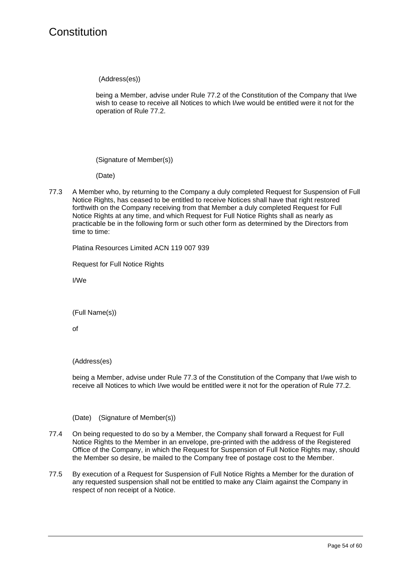(Address(es))

being a Member, advise under Rule [77.2](#page-56-3) of the Constitution of the Company that I/we wish to cease to receive all Notices to which I/we would be entitled were it not for the operation of Rule [77.2.](#page-56-3)

(Signature of Member(s))

(Date)

<span id="page-57-0"></span>77.3 A Member who, by returning to the Company a duly completed Request for Suspension of Full Notice Rights, has ceased to be entitled to receive Notices shall have that right restored forthwith on the Company receiving from that Member a duly completed Request for Full Notice Rights at any time, and which Request for Full Notice Rights shall as nearly as practicable be in the following form or such other form as determined by the Directors from time to time:

Platina Resources Limited ACN 119 007 939

Request for Full Notice Rights

I/We

(Full Name(s))

of

(Address(es)

being a Member, advise under Rule [77.3](#page-57-0) of the Constitution of the Company that I/we wish to receive all Notices to which I/we would be entitled were it not for the operation of Rule [77.2.](#page-56-3)

(Date) (Signature of Member(s))

- 77.4 On being requested to do so by a Member, the Company shall forward a Request for Full Notice Rights to the Member in an envelope, pre-printed with the address of the Registered Office of the Company, in which the Request for Suspension of Full Notice Rights may, should the Member so desire, be mailed to the Company free of postage cost to the Member.
- 77.5 By execution of a Request for Suspension of Full Notice Rights a Member for the duration of any requested suspension shall not be entitled to make any Claim against the Company in respect of non receipt of a Notice.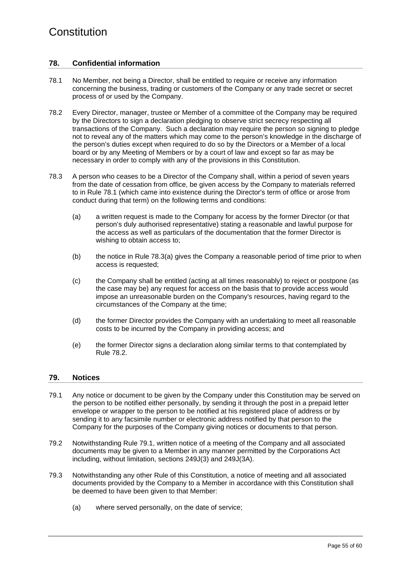#### **78. Confidential information**

- <span id="page-58-1"></span>78.1 No Member, not being a Director, shall be entitled to require or receive any information concerning the business, trading or customers of the Company or any trade secret or secret process of or used by the Company.
- <span id="page-58-3"></span>78.2 Every Director, manager, trustee or Member of a committee of the Company may be required by the Directors to sign a declaration pledging to observe strict secrecy respecting all transactions of the Company. Such a declaration may require the person so signing to pledge not to reveal any of the matters which may come to the person's knowledge in the discharge of the person's duties except when required to do so by the Directors or a Member of a local board or by any Meeting of Members or by a court of law and except so far as may be necessary in order to comply with any of the provisions in this Constitution.
- <span id="page-58-2"></span>78.3 A person who ceases to be a Director of the Company shall, within a period of seven years from the date of cessation from office, be given access by the Company to materials referred to in Rule [78.1](#page-58-1) (which came into existence during the Director's term of office or arose from conduct during that term) on the following terms and conditions:
	- (a) a written request is made to the Company for access by the former Director (or that person's duly authorised representative) stating a reasonable and lawful purpose for the access as well as particulars of the documentation that the former Director is wishing to obtain access to;
	- (b) the notice in Rule [78.3\(a\)](#page-58-2) gives the Company a reasonable period of time prior to when access is requested;
	- (c) the Company shall be entitled (acting at all times reasonably) to reject or postpone (as the case may be) any request for access on the basis that to provide access would impose an unreasonable burden on the Company's resources, having regard to the circumstances of the Company at the time;
	- (d) the former Director provides the Company with an undertaking to meet all reasonable costs to be incurred by the Company in providing access; and
	- (e) the former Director signs a declaration along similar terms to that contemplated by Rule [78.2.](#page-58-3)

#### <span id="page-58-0"></span>**79. Notices**

- <span id="page-58-4"></span>79.1 Any notice or document to be given by the Company under this Constitution may be served on the person to be notified either personally, by sending it through the post in a prepaid letter envelope or wrapper to the person to be notified at his registered place of address or by sending it to any facsimile number or electronic address notified by that person to the Company for the purposes of the Company giving notices or documents to that person.
- 79.2 Notwithstanding Rule [79.1,](#page-58-4) written notice of a meeting of the Company and all associated documents may be given to a Member in any manner permitted by the Corporations Act including, without limitation, sections 249J(3) and 249J(3A).
- 79.3 Notwithstanding any other Rule of this Constitution, a notice of meeting and all associated documents provided by the Company to a Member in accordance with this Constitution shall be deemed to have been given to that Member:
	- (a) where served personally, on the date of service;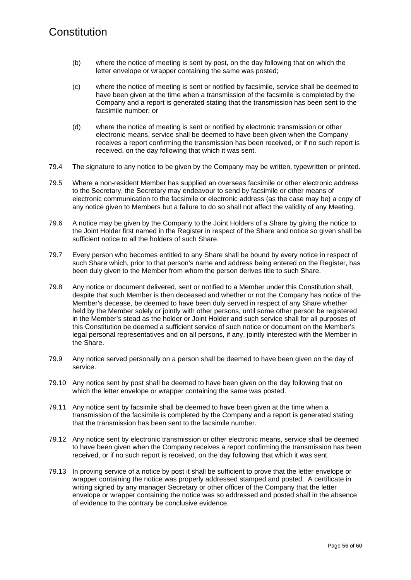- (b) where the notice of meeting is sent by post, on the day following that on which the letter envelope or wrapper containing the same was posted;
- (c) where the notice of meeting is sent or notified by facsimile, service shall be deemed to have been given at the time when a transmission of the facsimile is completed by the Company and a report is generated stating that the transmission has been sent to the facsimile number; or
- (d) where the notice of meeting is sent or notified by electronic transmission or other electronic means, service shall be deemed to have been given when the Company receives a report confirming the transmission has been received, or if no such report is received, on the day following that which it was sent.
- 79.4 The signature to any notice to be given by the Company may be written, typewritten or printed.
- 79.5 Where a non-resident Member has supplied an overseas facsimile or other electronic address to the Secretary, the Secretary may endeavour to send by facsimile or other means of electronic communication to the facsimile or electronic address (as the case may be) a copy of any notice given to Members but a failure to do so shall not affect the validity of any Meeting.
- 79.6 A notice may be given by the Company to the Joint Holders of a Share by giving the notice to the Joint Holder first named in the Register in respect of the Share and notice so given shall be sufficient notice to all the holders of such Share.
- 79.7 Every person who becomes entitled to any Share shall be bound by every notice in respect of such Share which, prior to that person's name and address being entered on the Register, has been duly given to the Member from whom the person derives title to such Share.
- 79.8 Any notice or document delivered, sent or notified to a Member under this Constitution shall, despite that such Member is then deceased and whether or not the Company has notice of the Member's decease, be deemed to have been duly served in respect of any Share whether held by the Member solely or jointly with other persons, until some other person be registered in the Member's stead as the holder or Joint Holder and such service shall for all purposes of this Constitution be deemed a sufficient service of such notice or document on the Member's legal personal representatives and on all persons, if any, jointly interested with the Member in the Share.
- <span id="page-59-0"></span>79.9 Any notice served personally on a person shall be deemed to have been given on the day of service.
- 79.10 Any notice sent by post shall be deemed to have been given on the day following that on which the letter envelope or wrapper containing the same was posted.
- <span id="page-59-1"></span>79.11 Any notice sent by facsimile shall be deemed to have been given at the time when a transmission of the facsimile is completed by the Company and a report is generated stating that the transmission has been sent to the facsimile number.
- <span id="page-59-2"></span>79.12 Any notice sent by electronic transmission or other electronic means, service shall be deemed to have been given when the Company receives a report confirming the transmission has been received, or if no such report is received, on the day following that which it was sent.
- 79.13 In proving service of a notice by post it shall be sufficient to prove that the letter envelope or wrapper containing the notice was properly addressed stamped and posted. A certificate in writing signed by any manager Secretary or other officer of the Company that the letter envelope or wrapper containing the notice was so addressed and posted shall in the absence of evidence to the contrary be conclusive evidence.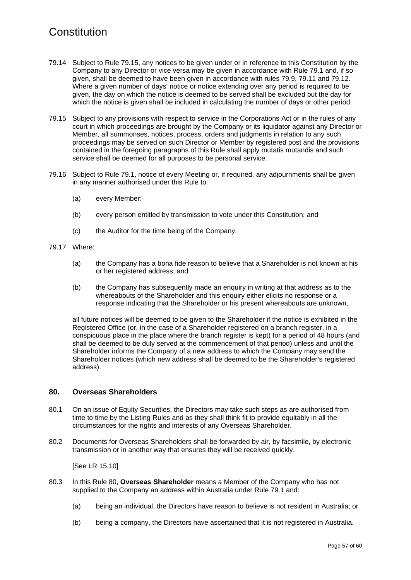- 79.14 Subject to Rule [79.15,](#page-60-0) any notices to be given under or in reference to this Constitution by the Company to any Director or vice versa may be given in accordance with Rule [79.1](#page-58-4) and, if so given, shall be deemed to have been given in accordance with rules [79.9,](#page-59-0) [79.11](#page-59-1) and [79.12.](#page-59-2) Where a given number of days' notice or notice extending over any period is required to be given, the day on which the notice is deemed to be served shall be excluded but the day for which the notice is given shall be included in calculating the number of days or other period.
- <span id="page-60-0"></span>79.15 Subject to any provisions with respect to service in the Corporations Act or in the rules of any court in which proceedings are brought by the Company or its liquidator against any Director or Member, all summonses, notices, process, orders and judgments in relation to any such proceedings may be served on such Director or Member by registered post and the provisions contained in the foregoing paragraphs of this Rule shall apply mutatis mutandis and such service shall be deemed for all purposes to be personal service.
- 79.16 Subject to Rule [79.1,](#page-58-4) notice of every Meeting or, if required, any adjournments shall be given in any manner authorised under this Rule to:
	- (a) every Member;
	- (b) every person entitled by transmission to vote under this Constitution; and
	- (c) the Auditor for the time being of the Company.
- 79.17 Where:
	- (a) the Company has a bona fide reason to believe that a Shareholder is not known at his or her registered address; and
	- (b) the Company has subsequently made an enquiry in writing at that address as to the whereabouts of the Shareholder and this enquiry either elicits no response or a response indicating that the Shareholder or his present whereabouts are unknown,

all future notices will be deemed to be given to the Shareholder if the notice is exhibited in the Registered Office (or, in the case of a Shareholder registered on a branch register, in a conspicuous place in the place where the branch register is kept) for a period of 48 hours (and shall be deemed to be duly served at the commencement of that period) unless and until the Shareholder informs the Company of a new address to which the Company may send the Shareholder notices (which new address shall be deemed to be the Shareholder's registered address).

#### <span id="page-60-1"></span>**80. Overseas Shareholders**

- 80.1 On an issue of Equity Securities, the Directors may take such steps as are authorised from time to time by the Listing Rules and as they shall think fit to provide equitably in all the circumstances for the rights and interests of any Overseas Shareholder.
- 80.2 Documents for Overseas Shareholders shall be forwarded by air, by facsimile, by electronic transmission or in another way that ensures they will be received quickly.

[See LR 15.10]

- 80.3 In this Rule [80,](#page-60-1) **Overseas Shareholder** means a Member of the Company who has not supplied to the Company an address within Australia under Rule [79.1](#page-58-4) and:
	- (a) being an individual, the Directors have reason to believe is not resident in Australia; or
	- (b) being a company, the Directors have ascertained that it is not registered in Australia.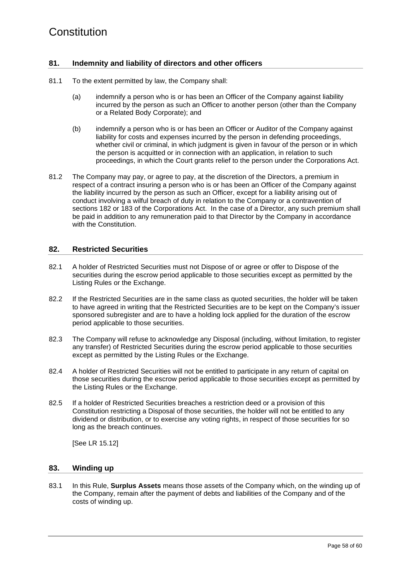#### **81. Indemnity and liability of directors and other officers**

- 81.1 To the extent permitted by law, the Company shall:
	- (a) indemnify a person who is or has been an Officer of the Company against liability incurred by the person as such an Officer to another person (other than the Company or a Related Body Corporate); and
	- (b) indemnify a person who is or has been an Officer or Auditor of the Company against liability for costs and expenses incurred by the person in defending proceedings, whether civil or criminal, in which judgment is given in favour of the person or in which the person is acquitted or in connection with an application, in relation to such proceedings, in which the Court grants relief to the person under the Corporations Act.
- 81.2 The Company may pay, or agree to pay, at the discretion of the Directors, a premium in respect of a contract insuring a person who is or has been an Officer of the Company against the liability incurred by the person as such an Officer, except for a liability arising out of conduct involving a wilful breach of duty in relation to the Company or a contravention of sections 182 or 183 of the Corporations Act. In the case of a Director, any such premium shall be paid in addition to any remuneration paid to that Director by the Company in accordance with the Constitution.

#### **82. Restricted Securities**

- <span id="page-61-0"></span>82.1 A holder of Restricted Securities must not Dispose of or agree or offer to Dispose of the securities during the escrow period applicable to those securities except as permitted by the Listing Rules or the Exchange.
- 82.2 If the Restricted Securities are in the same class as quoted securities, the holder will be taken to have agreed in writing that the Restricted Securities are to be kept on the Company's issuer sponsored subregister and are to have a holding lock applied for the duration of the escrow period applicable to those securities.
- 82.3 The Company will refuse to acknowledge any Disposal (including, without limitation, to register any transfer) of Restricted Securities during the escrow period applicable to those securities except as permitted by the Listing Rules or the Exchange.
- 82.4 A holder of Restricted Securities will not be entitled to participate in any return of capital on those securities during the escrow period applicable to those securities except as permitted by the Listing Rules or the Exchange.
- 82.5 If a holder of Restricted Securities breaches a restriction deed or a provision of this Constitution restricting a Disposal of those securities, the holder will not be entitled to any dividend or distribution, or to exercise any voting rights, in respect of those securities for so long as the breach continues.

[See LR 15.12]

#### **83. Winding up**

83.1 In this Rule, **Surplus Assets** means those assets of the Company which, on the winding up of the Company, remain after the payment of debts and liabilities of the Company and of the costs of winding up.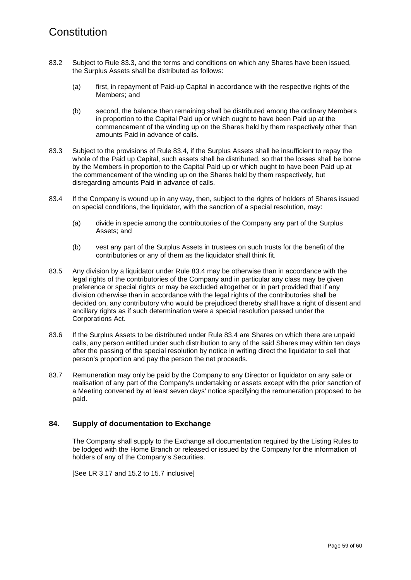- 83.2 Subject to Rule [83.3,](#page-62-0) and the terms and conditions on which any Shares have been issued, the Surplus Assets shall be distributed as follows:
	- (a) first, in repayment of Paid-up Capital in accordance with the respective rights of the Members; and
	- (b) second, the balance then remaining shall be distributed among the ordinary Members in proportion to the Capital Paid up or which ought to have been Paid up at the commencement of the winding up on the Shares held by them respectively other than amounts Paid in advance of calls.
- <span id="page-62-0"></span>83.3 Subject to the provisions of Rule [83.4,](#page-62-1) if the Surplus Assets shall be insufficient to repay the whole of the Paid up Capital, such assets shall be distributed, so that the losses shall be borne by the Members in proportion to the Capital Paid up or which ought to have been Paid up at the commencement of the winding up on the Shares held by them respectively, but disregarding amounts Paid in advance of calls.
- <span id="page-62-1"></span>83.4 If the Company is wound up in any way, then, subject to the rights of holders of Shares issued on special conditions, the liquidator, with the sanction of a special resolution, may:
	- (a) divide in specie among the contributories of the Company any part of the Surplus Assets; and
	- (b) vest any part of the Surplus Assets in trustees on such trusts for the benefit of the contributories or any of them as the liquidator shall think fit.
- 83.5 Any division by a liquidator under Rule [83.4](#page-62-1) may be otherwise than in accordance with the legal rights of the contributories of the Company and in particular any class may be given preference or special rights or may be excluded altogether or in part provided that if any division otherwise than in accordance with the legal rights of the contributories shall be decided on, any contributory who would be prejudiced thereby shall have a right of dissent and ancillary rights as if such determination were a special resolution passed under the Corporations Act.
- 83.6 If the Surplus Assets to be distributed under Rule [83.4](#page-62-1) are Shares on which there are unpaid calls, any person entitled under such distribution to any of the said Shares may within ten days after the passing of the special resolution by notice in writing direct the liquidator to sell that person's proportion and pay the person the net proceeds.
- 83.7 Remuneration may only be paid by the Company to any Director or liquidator on any sale or realisation of any part of the Company's undertaking or assets except with the prior sanction of a Meeting convened by at least seven days' notice specifying the remuneration proposed to be paid.

#### **84. Supply of documentation to Exchange**

The Company shall supply to the Exchange all documentation required by the Listing Rules to be lodged with the Home Branch or released or issued by the Company for the information of holders of any of the Company's Securities.

[See LR 3.17 and 15.2 to 15.7 inclusive]